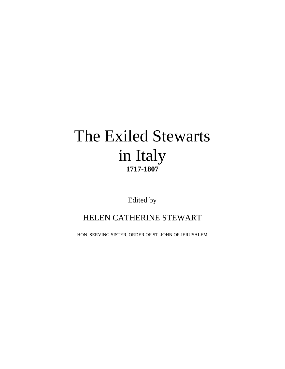# The Exiled Stewarts in Italy **1717-1807**

Edited by

## HELEN CATHERINE STEWART

HON. SERVING SISTER, ORDER OF ST. JOHN OF JERUSALEM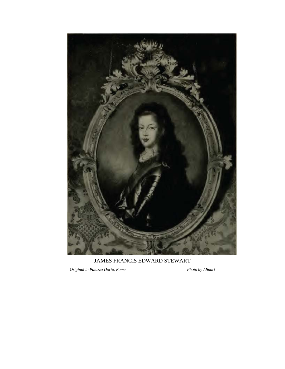

JAMES FRANCIS EDWARD STEWART

*Original in Palazzo Doria, Rome Photo by Alinari*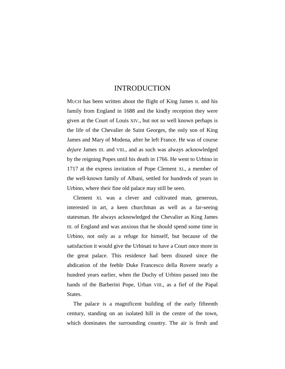### INTRODUCTION

MUCH has been written about the flight of King James II. and his family from England in 1688 and the kindly reception they were given at the Court of Louis XIV., but not so well known perhaps is the life of the Chevalier de Saint Georges, the only son of King James and Mary of Modena, after he left France. He was of course *dejure* James III. and VIII., and as such was always acknowledged by the reigning Popes until his death in 1766. He went to Urbino in 1717 at the express invitation of Pope Clement XI., a member of the well-known family of Albani, settled for hundreds of years in Urbino, where their fine old palace may still be seen.

Clement XI. was a clever and cultivated man, generous, interested in art, a keen churchman as well as a far-seeing statesman. He always acknowledged the Chevalier as King James III. of England and was anxious that he should spend some time in Urbino, not only as a refuge for himself, but because of the satisfaction it would give the Urbinati to have a Court once more in the great palace. This residence had been disused since the abdication of the feeble Duke Francesco della Rovere nearly a hundred years earlier, when the Duchy of Urbino passed into the hands of the Barberini Pope, Urban VIII., as a fief of the Papal States.

The palace is a magnificent building of the early fifteenth century, standing on an isolated hill in the centre of the town, which dominates the surrounding country. The air is fresh and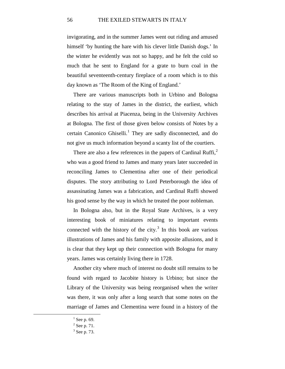invigorating, and in the summer James went out riding and amused himself 'by hunting the hare with his clever little Danish dogs.' In the winter he evidently was not so happy, and he felt the cold so much that he sent to England for a grate to burn coal in the beautiful seventeenth-century fireplace of a room which is to this day known as 'The Room of the King of England.'

There are various manuscripts both in Urbino and Bologna relating to the stay of James in the district, the earliest, which describes his arrival at Piacenza, being in the University Archives at Bologna. The first of those given below consists of Notes by a certain Canonico Ghiselli.<sup>[1](#page-3-0)</sup> They are sadly disconnected, and do not give us much information beyond a scanty list of the courtiers.

There are also a few references in the papers of Cardinal Ruffi, $<sup>2</sup>$  $<sup>2</sup>$  $<sup>2</sup>$ </sup> who was a good friend to James and many years later succeeded in reconciling James to Clementina after one of their periodical disputes. The story attributing to Lord Peterborough the idea of assassinating James was a fabrication, and Cardinal Ruffi showed his good sense by the way in which he treated the poor nobleman.

In Bologna also, but in the Royal State Archives, is a very interesting book of miniatures relating to important events connected with the history of the city. $3 \text{ In this book are various}$  $3 \text{ In this book are various}$ illustrations of James and his family with apposite allusions, and it is clear that they kept up their connection with Bologna for many years. James was certainly living there in 1728.

Another city where much of interest no doubt still remains to be found with regard to Jacobite history is Urbino; but since the Library of the University was being reorganised when the writer was there, it was only after a long search that some notes on the marriage of James and Clementina were found in a history of the

 $<sup>1</sup>$  See p. 69.</sup>

<span id="page-3-2"></span><span id="page-3-1"></span><span id="page-3-0"></span> $2$  See p. 71.

 $3$  See p. 73.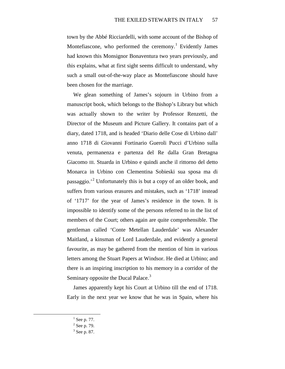town by the Abbé Ricciardelli, with some account of the Bishop of Montefiascone, who performed the ceremony.<sup>[1](#page-4-0)</sup> Evidently James had known this Monsignor Bonaventura two years previously, and this explains, what at first sight seems difficult to understand, why such a small out-of-the-way place as Montefiascone should have been chosen for the marriage.

We glean something of James's sojourn in Urbino from a manuscript book, which belongs to the Bishop's Library but which was actually shown to the writer by Professor Renzetti, the Director of the Museum and Picture Gallery. It contains part of a diary, dated 1718, and is headed 'Diario delle Cose di Urbino dall' anno 1718 di Giovanni Fortinario Gueroli Pucci d'Urbino sulla venuta, permanenza e partenza del Re dalla Gran Bretagna Giacomo III. Stuarda in Urbino e quindi anche il rittorno del detto Monarca in Urbino con Clementina Sobieski sua sposa ma di passaggio.<sup>[2](#page-4-1)</sup> Unfortunately this is but a copy of an older book, and suffers from various erasures and mistakes, such as '1718' instead of '1717' for the year of James's residence in the town. It is impossible to identify some of the persons referred to in the list of members of the Court; others again are quite comprehensible. The gentleman called 'Conte Metellan Lauderdale' was Alexander Maitland, a kinsman of Lord Lauderdale, and evidently a general favourite, as may be gathered from the mention of him in various letters among the Stuart Papers at Windsor. He died at Urbino; and there is an inspiring inscription to his memory in a corridor of the Seminary opposite the Ducal Palace.<sup>[3](#page-4-2)</sup>

James apparently kept his Court at Urbino till the end of 1718. Early in the next year we know that he was in Spain, where his

<span id="page-4-0"></span> $<sup>1</sup>$  See p. 77.</sup>

<span id="page-4-1"></span> $2$  See p. 79.

<span id="page-4-2"></span> $3$  See p. 87.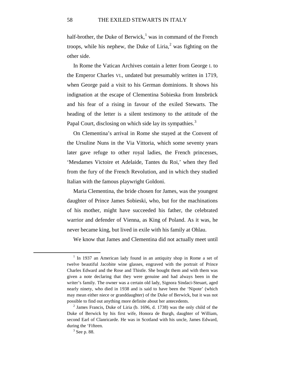half-brother, the Duke of Berwick,<sup>[1](#page-5-0)</sup> was in command of the French troops, while his nephew, the Duke of Liria, $^2$  $^2$  was fighting on the other side.

In Rome the Vatican Archives contain a letter from George I. to the Emperor Charles VI., undated but presumably written in 1719, when George paid a visit to his German dominions. It shows his indignation at the escape of Clementina Sobieska from Innsbrück and his fear of a rising in favour of the exiled Stewarts. The heading of the letter is a silent testimony to the attitude of the Papal Court, disclosing on which side lay its sympathies.<sup>[3](#page-5-2)</sup>

On Clementina's arrival in Rome she stayed at the Convent of the Ursuline Nuns in the Via Vittoria, which some seventy years later gave refuge to other royal ladies, the French princesses, 'Mesdames Victoire et Adelaide, Tantes du Roi,' when they fled from the fury of the French Revolution, and in which they studied Italian with the famous playwright Goldoni.

Maria Clementina, the bride chosen for James, was the youngest daughter of Prince James Sobieski, who, but for the machinations of his mother, might have succeeded his father, the celebrated warrior and defender of Vienna, as King of Poland. As it was, he never became king, but lived in exile with his family at Ohlau.

We know that James and Clementina did not actually meet until

<span id="page-5-0"></span> $1$  In 1937 an American lady found in an antiquity shop in Rome a set of twelve beautiful Jacobite wine glasses, engraved with the portrait of Prince Charles Edward and the Rose and Thistle. She bought them and with them was given a note declaring that they were genuine and had always been in the writer's family. The owner was a certain old lady, Signora Sindaci-Steuart, aged nearly ninety, who died in 1938 and is said to have been the 'Nipote' (which may mean either niece or granddaughter) of the Duke of Berwick, but it was not possible to find out anything more definite about her antecedents.

<span id="page-5-2"></span><span id="page-5-1"></span> $<sup>2</sup>$  James Francis, Duke of Liria (b. 1696, d. 1738) was the only child of the</sup> Duke of Berwick by his first wife, Honora de Burgh, daughter of William, second Earl of Clanricarde. He was in Scotland with his uncle, James Edward, during the 'Fifteen.

 $3$  See p. 88.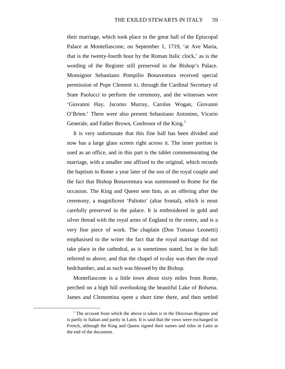their marriage, which took place in the great hall of the Episcopal Palace at Montefiascone, on September 1, 1719, 'at Ave Maria, that is the twenty-fourth hour by the Roman Italic clock,' as is the wording of the Register still preserved in the Bishop's Palace. Monsignor Sebastiano Pompilio Bonaventura received special permission of Pope Clement XI. through the Cardinal Secretary of State Paolucci to perform the ceremony, and the witnesses were 'Giovanni Hay, Jacomo Murray, Carolus Wogan, Giovanni O'Brien.' There were also present Sebastiano Antonino, Vicario Generale, and Father Brown, Confessor of the King.<sup>[1](#page-6-0)</sup>

It is very unfortunate that this fine hall has been divided and now has a large glass screen right across it. The inner portion is used as an office, and in this part is the tablet commemorating the marriage, with a smaller one affixed to the original, which records the baptism in Rome a year later of the son of the royal couple and the fact that Bishop Bonaventura was summoned to Rome for the occasion. The King and Queen sent him, as an offering after the ceremony, a magnificent 'Paliotto' (altar frontal), which is most carefully preserved in the palace. It is embroidered in gold and silver thread with the royal arms of England in the centre, and is a very fine piece of work. The chaplain (Don Tomaso Leonetti) emphasised to the writer the fact that the royal marriage did not take place in the cathedral, as is sometimes stated, but in the hall referred to above, and that the chapel of to-day was then the royal bedchamber, and as such was blessed by the Bishop.

Montefiascone is a little town about sixty miles from Rome, perched on a high hill overlooking the beautiful Lake of Bolsena. James and Clementina spent a short time there, and then settled

<span id="page-6-0"></span> $<sup>1</sup>$  The account from which the above is taken is in the Diocesan Register and</sup> is partly in Italian and partly in Latin. It is said that the vows were exchanged in French, although the King and Queen signed their names and titles in Latin at the end of the document.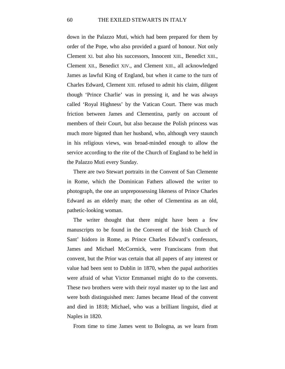down in the Palazzo Muti, which had been prepared for them by order of the Pope, who also provided a guard of honour. Not only Clement XI. but also his successors, Innocent XIII., Benedict XIII., Clement XII., Benedict XIV., and Clement XIII., all acknowledged James as lawful King of England, but when it came to the turn of Charles Edward, Clement XIII. refused to admit his claim, diligent though 'Prince Charlie' was in pressing it, and he was always called 'Royal Highness' by the Vatican Court. There was much friction between James and Clementina, partly on account of members of their Court, but also because the Polish princess was much more bigoted than her husband, who, although very staunch in his religious views, was broad-minded enough to allow the service according to the rite of the Church of England to be held in the Palazzo Muti every Sunday.

There are two Stewart portraits in the Convent of San Clemente in Rome, which the Dominican Fathers allowed the writer to photograph, the one an unprepossessing likeness of Prince Charles Edward as an elderly man; the other of Clementina as an old, pathetic-looking woman.

The writer thought that there might have been a few manuscripts to be found in the Convent of the Irish Church of Sant' Isidoro in Rome, as Prince Charles Edward's confessors, James and Michael McCormick, were Franciscans from that convent, but the Prior was certain that all papers of any interest or value had been sent to Dublin in 1870, when the papal authorities were afraid of what Victor Emmanuel might do to the convents. These two brothers were with their royal master up to the last and were both distinguished men: James became Head of the convent and died in 1818; Michael, who was a brilliant linguist, died at Naples in 1820.

From time to time James went to Bologna, as we learn from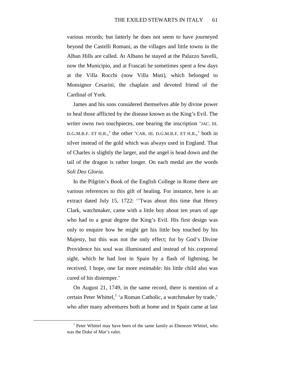various records; but latterly he does not seem to have journeyed beyond the Castelli Romani, as the villages and little towns in the Alban Hills are called. At Albano he stayed at the Palazzo Savelli, now the Municipio, and at Frascati he sometimes spent a few days at the Villa Rocchi (now Villa Muti), which belonged to Monsignor Cesarini, the chaplain and devoted friend of the Cardinal of York.

James and his sons considered themselves able by divine power to heal those afflicted by the disease known as the King's Evil. The writer owns two touchpieces, one bearing the inscription 'JAC. III. D.G.M.B.F. ET H.R.,' the other 'CAR. III. D.G.M.B.F. ET H.R.,' both in silver instead of the gold which was always used in England. That of Charles is slightly the larger, and the angel is head down and the tail of the dragon is rather longer. On each medal are the words *Soli Deo Gloria*.

In the Pilgrim's Book of the English College in Rome there are various references to this gift of healing. For instance, here is an extract dated July 15, 1722: ''Twas about this time that Henry Clark, watchmaker, came with a little boy about ten years of age who had to a great degree the King's Evil. His first design was only to enquire how he might get his little boy touched by his Majesty, but this was not the only effect; for by God's Divine Providence his soul was illuminated and instead of his corporeal sight, which he had lost in Spain by a flash of lightning, he received, I hope, one far more estimable: his little child also was cured of his distemper.'

On August 21, 1749, in the same record, there is mention of a certain Peter Whittel,<sup>[1](#page-8-0)</sup> 'a Roman Catholic, a watchmaker by trade,' who after many adventures both at home and in Spain came at last

<span id="page-8-0"></span><sup>&</sup>lt;sup>1</sup> Peter Whittel may have been of the same family as Ebenezer Whittel, who was the Duke of Mar's valet.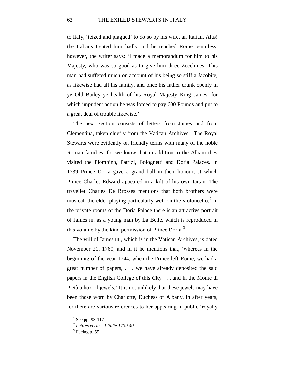to Italy, 'teized and plagued' to do so by his wife, an Italian. Alas! the Italians treated him badly and he reached Rome penniless; however, the writer says: 'I made a memorandum for him to his Majesty, who was so good as to give him three Zecchines. This man had suffered much on account of his being so stiff a Jacobite, as likewise had all his family, and once his father drunk openly in ye Old Bailey ye health of his Royal Majesty King James, for which impudent action he was forced to pay 600 Pounds and put to a great deal of trouble likewise.'

The next section consists of letters from James and from Clementina, taken chiefly from the Vatican Archives.<sup>[1](#page-9-0)</sup> The Royal Stewarts were evidently on friendly terms with many of the noble Roman families, for we know that in addition to the Albani they visited the Piombino, Patrizi, Bolognetti and Doria Palaces. In 1739 Prince Doria gave a grand ball in their honour, at which Prince Charles Edward appeared in a kilt of his own tartan. The traveller Charles De Brosses mentions that both brothers were musical, the elder playing particularly well on the violoncello. $<sup>2</sup>$  $<sup>2</sup>$  $<sup>2</sup>$  In</sup> the private rooms of the Doria Palace there is an attractive portrait of James III. as a young man by La Belle, which is reproduced in this volume by the kind permission of Prince Doria.<sup>[3](#page-9-2)</sup>

The will of James III., which is in the Vatican Archives, is dated November 21, 1760, and in it he mentions that, 'whereas in the beginning of the year 1744, when the Prince left Rome, we had a great number of papers, . . . we have already deposited the said papers in the English College of this City . . . and in the Monte di Pietà a box of jewels.' It is not unlikely that these jewels may have been those worn by Charlotte, Duchess of Albany, in after years, for there are various references to her appearing in public 'royally

<span id="page-9-0"></span> $1$  See pp. 93-117.

<span id="page-9-1"></span><sup>2</sup> *Lettres ecrites d'ltalie 1739-40*.

<span id="page-9-2"></span> $3$  Facing p. 55.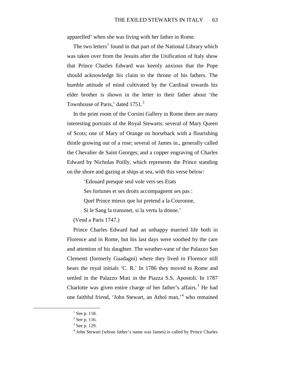apparelled' when she was living with her father in Rome.

The two letters<sup>[1](#page-10-0)</sup> found in that part of the National Library which was taken over from the Jesuits after the Unification of Italy show that Prince Charles Edward was keenly anxious that the Pope should acknowledge his claim to the throne of his fathers. The humble attitude of mind cultivated by the Cardinal towards his elder brother is shown in the letter to their father about 'the Townhouse of Paris,' dated 1751.<sup>[2](#page-10-1)</sup>

In the print room of the Corsini Gallery in Rome there are many interesting portraits of the Royal Stewarts: several of Mary Queen of Scots; one of Mary of Orange on horseback with a flourishing thistle growing out of a rose; several of James in., generally called the Chevalier de Saint Georges; and a copper engraving of Charles Edward by Nicholas Poilly, which represents the Prince standing on the shore and gazing at ships at sea, with this verse below:

'Edouard presque seul vole vers ses Etats

Ses fortunes et ses droits accompagnent ses pas :

Quel Prince mieux que lui pretend a la Couronne,

Si le Sang la transmet, si la vertu la donne.'

### (Vend a Paris 1747.)

Prince Charles Edward had an unhappy married life both in Florence and in Rome, but his last days were soothed by the care and attention of his daughter. The weather-vane of the Palazzo San Clementi (formerly Guadagni) where they lived in Florence still bears the royal initials 'C. R.' In 1786 they moved to Rome and settled in the Palazzo Muti in the Piazza S.S. Apostoli. In 1787 Charlotte was given entire charge of her father's affairs.<sup>[3](#page-10-2)</sup> He had one faithful friend, 'John Stewart, an Athol man,' [4](#page-10-3) who remained

 $1$  See p. 118.

<span id="page-10-2"></span><span id="page-10-1"></span><span id="page-10-0"></span> $2$  See p. 116.

<sup>3</sup> See p. 129.

<span id="page-10-3"></span><sup>4</sup> John Stewart (whose father's name was James) is called by Prince Charles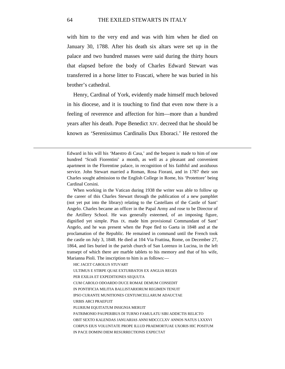with him to the very end and was with him when he died on January 30, 1788. After his death six altars were set up in the palace and two hundred masses were said during the thirty hours that elapsed before the body of Charles Edward Stewart was transferred in a horse litter to Frascati, where he was buried in his brother's cathedral.

Henry, Cardinal of York, evidently made himself much beloved in his diocese, and it is touching to find that even now there is a feeling of reverence and affection for him—more than a hundred years after his death. Pope Benedict XIV. decreed that he should be known as 'Serenissimus Cardinalis Dux Eboraci.' He restored the

Edward in his will his 'Maestro di Casa,' and the bequest is made to him of one hundred 'Scudi Fiorentini' a month, as well as a pleasant and convenient apartment in the Florentine palace, in recognition of his faithful and assiduous service. John Stewart married a Roman, Rosa Fiorani, and in 1787 their son Charles sought admission to the English College in Rome, his 'Protettore' being Cardinal Corsini.

When working in the Vatican during 1938 the writer was able to follow up the career of this Charles Stewart through the publication of a new pamphlet (not yet put into the library) relating to the Castellans of the Castle of Sant' Angelo. Charles became an officer in the Papal Army and rose to be Director of the Artillery School. He was generally esteemed, of an imposing figure, dignified yet simple. Pius IX. made him provisional Commandant of Sant' Angelo, and he was present when the Pope fled to Gaeta in 1848 and at the proclamation of the Republic. He remained in command until the French took the castle on July 3, 1848. He died at 104 Via Frattina, Rome, on December 27, 1864, and lies buried in the parish church of San Lorenzo in Lucina, in the left transept of which there are marble tablets to his memory and that of his wife, Marianna Pioli. The inscription to him is as follows:—

HIC JACET CAROLUS STUVART ULTIMUS E STIRPE QUAE EXTURBATOS EX ANGLIA REGES PER EXILIA ET EXPEDITIONES SEQUUTA CUM CAROLO ODOARDO DUCE ROMAE DEMUM CONSEDIT IN PONTIFICIA MILITIA BALLISTARIORUM REGIMEN TENUIT IPSO CURANTE MUNITIONES CENTUMCELLARUM ADAUCTAE URBIS ARCI PRAEFUIT PLURIUM EQUITATUM INSIGNIA MERUIT PATRIMONIO PAUPERIBUS DI TURNO FAMULATU SIBI ADDICTIS RELICTO OBIT SEXTO KALENDAS JANUARIAS ANNI MDCCCLXV ANNOS NATUS LXXXVI CORPUS EIUS VOLUNTATE PROPE ILLUD PRAEMORTUAE UXORIS HIC POSITUM IN PACE DOMINI DIEM RESURRECTIONIS EXPECTAT

 $\overline{a}$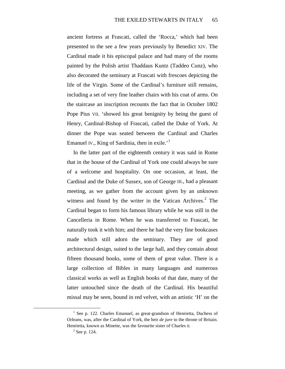ancient fortress at Frascati, called the 'Rocca,' which had been presented to the see a few years previously by Benedict XIV. The Cardinal made it his episcopal palace and had many of the rooms painted by the Polish artist Thaddaus Kuntz (Taddeo Cunz), who also decorated the seminary at Frascati with frescoes depicting the life of the Virgin. Some of the Cardinal's furniture still remains, including a set of very fine leather chairs with his coat of arms. On the staircase an inscription recounts the fact that in October 1802 Pope Pius VII. 'showed his great benignity by being the guest of Henry, Cardinal-Bishop of Frascati, called the Duke of York. At dinner the Pope was seated between the Cardinal and Charles Emanuel IV., King of Sardinia, then in exile.<sup>[1](#page-12-0)</sup>

In the latter part of the eighteenth century it was said in Rome that in the house of the Cardinal of York one could always be sure of a welcome and hospitality. On one occasion, at least, the Cardinal and the Duke of Sussex, son of George III., had a pleasant meeting, as we gather from the account given by an unknown witness and found by the writer in the Vatican Archives.<sup>[2](#page-12-1)</sup> The Cardinal began to form his famous library while he was still in the Cancelleria in Rome. When he was transferred to Frascati, he naturally took it with him; and there he had the very fine bookcases made which still adorn the seminary. They are of good architectural design, suited to the large hall, and they contain about fifteen thousand books, some of them of great value. There is a large collection of Bibles in many languages and numerous classical works as well as English books of that date, many of the latter untouched since the death of the Cardinal. His beautiful missal may be seen, bound in red velvet, with an artistic 'H' on the

<span id="page-12-1"></span><span id="page-12-0"></span><sup>&</sup>lt;sup>1</sup> See p. 122. Charles Emanuel, as great-grandson of Henrietta, Duchess of Orleans, was, after the Cardinal of York, the heir *de jure* to the throne of Britain. Henrietta, known as Minette, was the favourite sister of Charles II.

 $2$  See p. 124.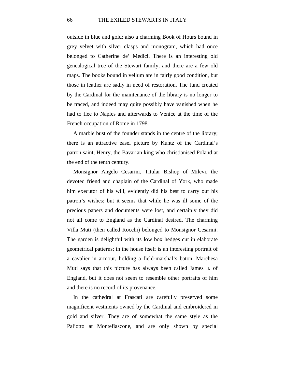outside in blue and gold; also a charming Book of Hours bound in grey velvet with silver clasps and monogram, which had once belonged to Catherine de' Medici. There is an interesting old genealogical tree of the Stewart family, and there are a few old maps. The books bound in vellum are in fairly good condition, but those in leather are sadly in need of restoration. The fund created by the Cardinal for the maintenance of the library is no longer to be traced, and indeed may quite possibly have vanished when he had to flee to Naples and afterwards to Venice at the time of the French occupation of Rome in 1798.

A marble bust of the founder stands in the centre of the library; there is an attractive easel picture by Kuntz of the Cardinal's patron saint, Henry, the Bavarian king who christianised Poland at the end of the tenth century.

Monsignor Angelo Cesarini, Titular Bishop of Milevi, the devoted friend and chaplain of the Cardinal of York, who made him executor of his will, evidently did his best to carry out his patron's wishes; but it seems that while he was ill some of the precious papers and documents were lost, and certainly they did not all come to England as the Cardinal desired. The charming Villa Muti (then called Rocchi) belonged to Monsignor Cesarini. The garden is delightful with its low box hedges cut in elaborate geometrical patterns; in the house itself is an interesting portrait of a cavalier in armour, holding a field-marshal's baton. Marchesa Muti says that this picture has always been called James II. of England, but it does not seem to resemble other portraits of him and there is no record of its provenance.

In the cathedral at Frascati are carefully preserved some magnificent vestments owned by the Cardinal and embroidered in gold and silver. They are of somewhat the same style as the Paliotto at Montefiascone, and are only shown by special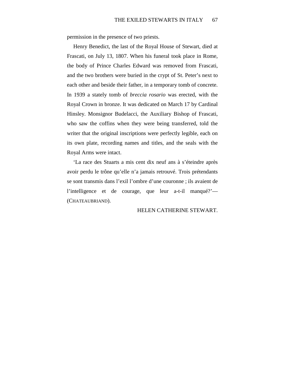permission in the presence of two priests.

Henry Benedict, the last of the Royal House of Stewart, died at Frascati, on July 13, 1807. When his funeral took place in Rome, the body of Prince Charles Edward was removed from Frascati, and the two brothers were buried in the crypt of St. Peter's next to each other and beside their father, in a temporary tomb of concrete. In 1939 a stately tomb of *breccia rosario* was erected, with the Royal Crown in bronze. It was dedicated on March 17 by Cardinal Hinsley. Monsignor Budelacci, the Auxiliary Bishop of Frascati, who saw the coffins when they were being transferred, told the writer that the original inscriptions were perfectly legible, each on its own plate, recording names and titles, and the seals with the Royal Arms were intact.

'La race des Stuarts a mis cent dix neuf ans à s'éteindre après avoir perdu le trône qu'elle n'a jamais retrouvé. Trois prétendants se sont transmis dans l'exil l'ombre d'une couronne ; ils avaient de l'intelligence et de courage, que leur a-t-il manqué?'— (CHATEAUBRIAND).

#### HELEN CATHERINE STEWART.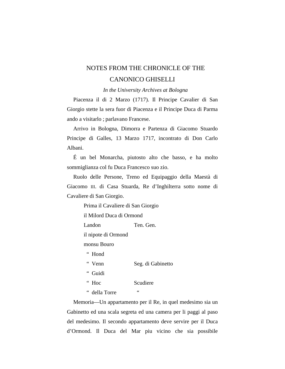### NOTES FROM THE CHRONICLE OF THE CANONICO GHISELLI

*In the University Archives at Bologna*

Piacenza il di 2 Marzo (1717). Il Principe Cavalier di San Giorgio stette la sera fuor di Piacenza e il Principe Duca di Parma ando a visitarlo ; parlavano Francese.

Arrivo in Bologna, Dimorra e Partenza di Giacomo Stuardo Principe di Galles, 13 Marzo 1717, incontrato di Don Carlo Albani.

É un bel Monarcha, piutosto alto che basso, e ha molto sommiglianza col fu Duca Francesco suo zio.

Ruolo delle Persone, Treno ed Equipaggio della Maestà di Giacomo III. di Casa Stuarda, Re d'Inghilterra sotto nome di Cavaliere di San Giorgio.

Prima il Cavaliere di San Giorgio

il Milord Duca di Ormond

Landon Ten. Gen.

il nipote di Ormond

monsu Bouro

" Hond

" Venn Seg. di Gabinetto

" Guidi

" Hoc Scudiere

" della Torre "

Memoria—Un appartamento per il Re, in quel medesimo sia un Gabinetto ed una scala segreta ed una camera per li paggi al paso del medesimo. Il secondo appartamento deve servire per il Duca d'Ormond. Il Duca del Mar piu vicino che sia possibile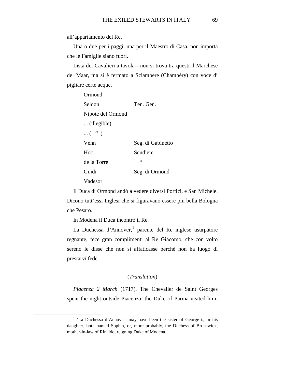all'appartamento del Re.

Una o due per i paggi, una per il Maestro di Casa, non importa che le Famiglie siano fuori.

Lista dei Cavalieri a tavola—non si trova tra questi il Marchese del Maar, ma si è fermato a Sciambere (Chambéry) con voce di pigliare certe acque.

| Ormond            |                   |
|-------------------|-------------------|
| Seldon            | Ten. Gen.         |
| Nipote del Ormond |                   |
| (illegible)       |                   |
| $\dots$ ( " )     |                   |
| Venn              | Seg. di Gabinetto |
| Hoc               | Scudiere          |
| de la Torre       | $\leq$            |
| Guidi             | Seg. di Ormond    |
| Vadesor           |                   |

Il Duca di Ormond andò a vedere diversi Portici, e San Michele. Dicono tutt'essi Inglesi che si figuravano essere piu bella Bologna che Pesaro.

In Modena il Duca incontrò il Re.

La Duchessa d'Annover,<sup>[1](#page-16-0)</sup> parente del Re inglese usurpatore regnante, fece gran complimenti al Re Giacomo, che con volto sereno le disse che non si affaticasse perchè non ha luogo di prestarvi fede.

#### (*Translation*)

*Piacenza 2 March* (1717). The Chevalier de Saint Georges spent the night outside Piacenza; the Duke of Parma visited him;

<span id="page-16-0"></span> <sup>1</sup> 'La Duchessa d'Annover' may have been the sister of George I., or his daughter, both named Sophia, or, more probably, the Duchess of Brunswick, mother-in-law of Rinaldo, reigning Duke of Modena.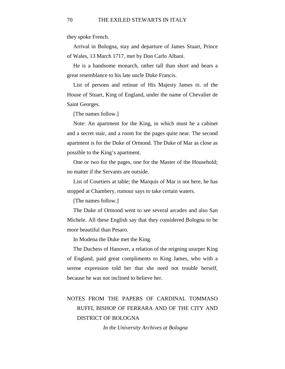they spoke French.

Arrival in Bologna, stay and departure of James Stuart, Prince of Wales, 13 March 1717, met by Don Carlo Albani.

He is a handsome monarch, rather tall than short and bears a great resemblance to his late uncle Duke Francis.

List of persons and retinue of His Majesty James III. of the House of Stuart, King of England, under the name of Chevalier de Saint Georges.

[The names follow.]

Note: An apartment for the King, in which must be a cabinet and a secret stair, and a room for the pages quite near. The second apartment is for the Duke of Ormond. The Duke of Mar as close as possible to the King's apartment.

One or two for the pages, one for the Master of the Household; no matter if the Servants are outside.

List of Courtiers at table; the Marquis of Mar is not here, he has stopped at Chambery, rumour says to take certain waters.

[The names follow.]

The Duke of Ormond went to see several arcades and also San Michele. All these English say that they considered Bologna to be more beautiful than Pesaro.

In Modena the Duke met the King.

The Duchess of Hanover, a relation of the reigning usurper King of England, paid great compliments to King James, who with a serene expression told her that she need not trouble herself, because he was not inclined to believe her.

### NOTES FROM THE PAPERS OF CARDINAL TOMMASO RUFFI, BISHOP OF FERRARA AND OF THE CITY AND DISTRICT OF BOLOGNA

*In the University Archives at Bologna*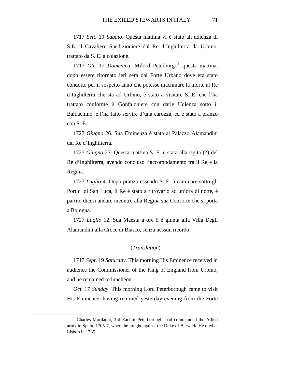1717 *Sett*. 19 *Sabato*. Questa mattina vi è stato all'udienza di S.E. il Cavaliere Spedizioniere dal Re d'Inghilterra da Urbino, trattato da S. E. a colazione.

[1](#page-18-0)717 *Ott.* 17 *Domenica*. Milord Peterburgo<sup>1</sup> questa mattina, dopo essere ritornato ieri sera dal Forte Urbano dove era stato condotto per il sospetto anno che potesse machinare la morte al Re d'Inghilterra che sta ad Urbino, è stato a visitare S. E. che l'ha trattato conforme il Gonfaloniere con darle Udienza sotto il Baldachino, e l'ha fatto servire d'una carozza, ed è stato a pranzo con S. E.

1727 *Giugno* 26. Sua Eminenza è stata al Palazzo Alamandini dal Re d'Inghilterra.

1727 *Giugno* 27. Questa mattina S. E. è stata alla rigita (?) del Re d'Inghilterra, avendo concluso l'accomodamento tra il Re e la Regina.

1727 *Luglio* 4. Dopo pranzo essendo S. E. a caminare sotto gli Portici di San Luca, il Re è stato a ritrovarlo ad un'ora di notte, è partito dicesi andare incontro alla Regina sua Consorte che si porta a Bologna.

1727 *Luglio* 12. Sua Maesta a ore 5 è giunta alla Villa Degli Alamandini alla Croce di Biasco, senza nessun ricordo.

#### (*Translation*)

1717 *Sept*. 19 *Saturday*. This morning His Eminence received in audience the Commissioner of the King of England from Urbino, and he remained to luncheon.

*Oct*. 17 *Sunday*. This morning Lord Peterborough came to visit His Eminence, having returned yesterday evening from the Forte

<span id="page-18-0"></span><sup>&</sup>lt;sup>1</sup> Charles Mordaunt, 3rd Earl of Peterborough, had commanded the Allied army in Spain, 1705-7, where he fought against the Duke of Berwick. He died at Lisbon in 1735.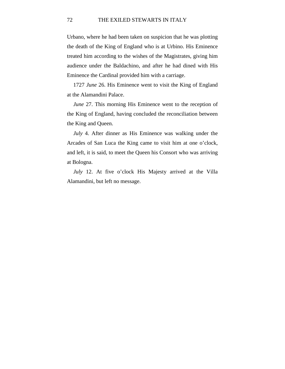Urbano, where he had been taken on suspicion that he was plotting the death of the King of England who is at Urbino. His Eminence treated him according to the wishes of the Magistrates, giving him audience under the Baldachino, and after he had dined with His Eminence the Cardinal provided him with a carriage.

1727 *June* 26. His Eminence went to visit the King of England at the Alamandini Palace.

*June* 27. This morning His Eminence went to the reception of the King of England, having concluded the reconciliation between the King and Queen.

*July* 4. After dinner as His Eminence was walking under the Arcades of San Luca the King came to visit him at one o'clock, and left, it is said, to meet the Queen his Consort who was arriving at Bologna.

*July* 12. At five o'clock His Majesty arrived at the Villa Alamandini, but left no message.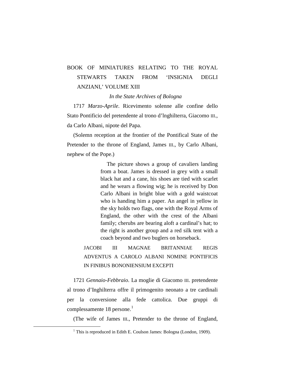### BOOK OF MINIATURES RELATING TO THE ROYAL STEWARTS TAKEN FROM 'INSIGNIA DEGLI ANZIANI,' VOLUME XIII

*In the State Archives of Bologna*

1717 *Marzo-Aprile*. Ricevimento solenne alle confine dello Stato Pontificio del pretendente al trono d'lnghilterra, Giacomo III., da Carlo Albani, nipote del Papa.

(Solemn reception at the frontier of the Pontifical State of the Pretender to the throne of England, James III., by Carlo Albani, nephew of the Pope.)

> The picture shows a group of cavaliers landing from a boat. James is dressed in grey with a small black hat and a cane, his shoes are tied with scarlet and he wears a flowing wig; he is received by Don Carlo Albani in bright blue with a gold waistcoat who is handing him a paper. An angel in yellow in the sky holds two flags, one with the Royal Arms of England, the other with the crest of the Albani family; cherubs are bearing aloft a cardinal's hat; to the right is another group and a red silk tent with a coach beyond and two buglers on horseback.

JACOBI III MAGNAE BRITANNIAE REGIS ADVENTUS A CAROLO ALBANI NOMINE PONTIFICIS IN FINIBUS BONONIENSIUM EXCEPTI

1721 *Gennaio-Febbraio*. La moglie di Giacomo III. pretendente al trono d'Inghilterra offre il primogenito neonato a tre cardinali per la conversione alla fede cattolica. Due gruppi di complessamente [1](#page-20-0)8 persone.<sup>1</sup>

(The wife of James III., Pretender to the throne of England,

<span id="page-20-0"></span> $1$  This is reproduced in Edith E. Coulson James: Bologna (London, 1909).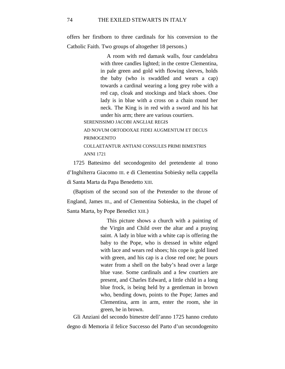offers her firstborn to three cardinals for his conversion to the Catholic Faith. Two groups of altogether 18 persons.)

> A room with red damask walls, four candelabra with three candles lighted; in the centre Clementina, in pale green and gold with flowing sleeves, holds the baby (who is swaddled and wears a cap) towards a cardinal wearing a long grey robe with a red cap, cloak and stockings and black shoes. One lady is in blue with a cross on a chain round her neck. The King is in red with a sword and his hat under his arm; there are various courtiers.

SERENISSIMO JACOBI ANGLIAE REGIS

AD NOVUM ORTODOXAE FIDEI AUGMENTUM ET DECUS PRIMOGENITO COLLAETANTUR ANTIANI CONSULES PRIMI BIMESTRIS

ANNI 1721

1725 Battesimo del secondogenito del pretendente al trono d'Inghilterra Giacomo III. e di Clementina Sobiesky nella cappella di Santa Marta da Papa Benedetto XIII.

(Baptism of the second son of the Pretender to the throne of England, James III., and of Clementina Sobieska, in the chapel of Santa Marta, by Pope Benedict XIII.)

> This picture shows a church with a painting of the Virgin and Child over the altar and a praying saint. A lady in blue with a white cap is offering the baby to the Pope, who is dressed in white edged with lace and wears red shoes; his cope is gold lined with green, and his cap is a close red one; he pours water from a shell on the baby's head over a large blue vase. Some cardinals and a few courtiers are present, and Charles Edward, a little child in a long blue frock, is being held by a gentleman in brown who, bending down, points to the Pope; James and Clementina, arm in arm, enter the room, she in green, he in brown.

Gli Anziani del secondo bimestre dell'anno 1725 hanno creduto degno di Memoria il felice Successo del Parto d'un secondogenito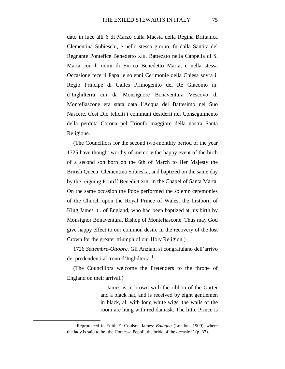dato in luce alli 6 di Marzo dalla Maesta della Regina Brittanica Clementina Subieschi, e nello stesso giorno, fu dalla Santità del Regnante Pontefice Benedetto XIII. Battezato nella Cappella di S. Marta con li nomi di Enrico Benedetto Maria, e nella stessa Occasione fece il Papa le solenni Cerimonie della Chiesa sovra il Regio Principe di Galles Primogenito del Re Giacomo III. d'Inghilterra cui da Monsignore Bonaventura Vescovo di Montefiascone era stata data l'Acqua del Battesimo nel Suo Nascere. Cosi Dio feliciti i communi desiderii nel Conseguimento della perduta Corona pel Trionfo maggiore della nostra Santa Religione.

(The Councillors for the second two-monthly period of the year 1725 have thought worthy of memory the happy event of the birth of a second son born on the 6th of March to Her Majesty the British Queen, Clementina Sobieska, and baptized on the same day by the reigning Pontiff Benedict XIII. in the Chapel of Santa Marta. On the same occasion the Pope performed the solemn ceremonies of the Church upon the Royal Prince of Wales, the firstborn of King James III. of England, who had been baptized at his birth by Monsignor Bonaventura, Bishop of Montefiascone. Thus may God give happy effect to our common desire in the recovery of the lost Crown for the greater triumph of our Holy Religion.)

1726 *Settembre-Ottobre*. Gli Anziani si congratulano dell'arrivo dei predendenti al trono d'Inghilterra.<sup>[1](#page-22-0)</sup>

(The Councillors welcome the Pretenders to the throne of England on their arrival.)

> James is in brown with the ribbon of the Garter and a black hat, and is received by eight gentlemen in black, all with long white wigs; the walls of the room are hung with red damask. The little Prince is

<span id="page-22-0"></span><sup>&</sup>lt;sup>1</sup> Reproduced in Edith E. Coulson James: *Bologna* (London, 1909), where the lady is said to be 'the Contessa Pepoli, the bride of the occasion' (p. 87).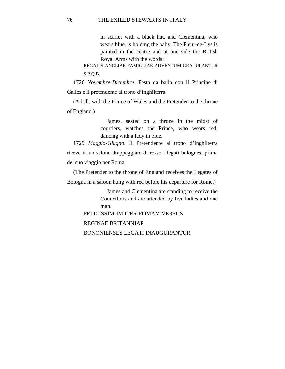in scarlet with a black hat, and Clementina, who wears blue, is holding the baby. The Fleur-de-Lys is painted in the centre and at one side the British Royal Arms with the words:

REGALIS ANGLIAE FAMIGLIAE ADVENTUM GRATULANTUR S.P.Q.B.

1726 *Novembre-Dicembre*. Festa da ballo con il Principe di Galles e il pretendente al trono d'Inghilterra.

(A ball, with the Prince of Wales and the Pretender to the throne of England.)

> James, seated on a throne in the midst of courtiers, watches the Prince, who wears red, dancing with a lady in blue.

1729 *Maggio-Giugno*. Il Pretendente al trono d'Inghilterra riceve in un salone drappeggiato di rosso i legati bolognesi prima del suo viaggio per Roma.

(The Pretender to the throne of England receives the Legates of Bologna in a saloon hung with red before his departure for Rome.)

> James and Clementina are standing to receive the Councillors and are attended by five ladies and one man.

FELICISSIMUM ITER ROMAM VERSUS REGINAE BRITANNIAE BONONIENSES LEGATI INAUGURANTUR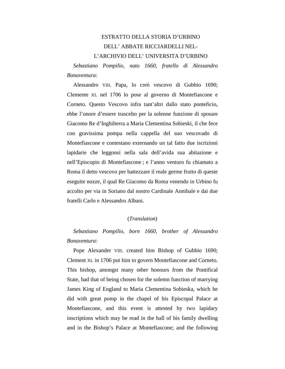### ESTRATTO DELLA STORIA D'URBINO DELL' ABBATE RICCIARDELLI NEL-

L'ARCHIVIO DELL' UNIVERSITA D'URBINO

*Sebastiano Pompilio, nato 1660, fratello di Alessandro Bonaventura:*

Alessandro VIII. Papa, lo creò vescovo di Gubbio 1690; Clemente XI. nel 1706 lo pose al governo di Montefiascone e Corneto. Questo Vescovo infra tant'altri dallo stato ponteficio, ebbe l'onore d'essere trascelto per la solenne funzione di sposare Giacomo Re d'Inghilterra a Maria Clementina Sobieski, il che fece con gravissima pompa nella cappella del suo vescovado di Montefiascone e contestano externando un tal fatto due iscrizioni lapidarie che leggonsi nella sala dell'avida sua abitazione e nell'Episcopio di Montefiascone ; e l'anno venturo fu chiamato a Roma il detto vescovo per battezzare il reale germe frutto di queste eseguite nozze, il qual Re Giacomo da Roma venendo in Urbino fu accolto per via in Soriano dal nostro Cardinale Annibale e dai due fratelli Carlo e Alessandro Albani.

#### (*Translation*)

*Sebastiano Pompilio, born 1660, brother of Alessandro Bonaventura:*

Pope Alexander VIII. created him Bishop of Gubbio 1690; Clement XI. in 1706 put him to govern Montefiascone and Corneto. This bishop, amongst many other honours from the Pontifical State, had that of being chosen for the solemn function of marrying James King of England to Maria Clementina Sobieska, which he did with great pomp in the chapel of his Episcopal Palace at Montefiascone, and this event is attested by two lapidary inscriptions which may be read in the hall of his family dwelling and in the Bishop's Palace at Montefiascone; and the following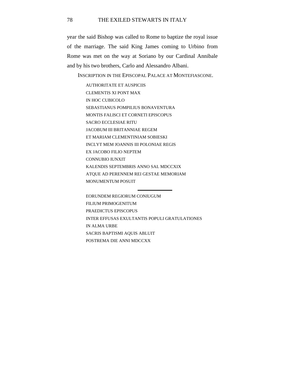year the said Bishop was called to Rome to baptize the royal issue of the marriage. The said King James coming to Urbino from Rome was met on the way at Soriano by our Cardinal Annibale and by his two brothers, Carlo and Alessandro Albani.

INSCRIPTION IN THE EPISCOPAL PALACE AT MONTEFIASCONE.

AUTHORITATE ET AUSPICIIS CLEMENTIS XI PONT MAX IN HOC CUBICOLO SEBASTIANUS POMPILIUS BONAVENTURA MONTIS FALISCI ET CORNETI EPISCOPUS SACRO ECCLESIAE RITU JACOBUM III BRITANNIAE REGEM ET MARIAM CLEMENTINIAM SOBIESKI INCLYT MEM JOANNIS III POLONIAE REGIS EX JACOBO FILIO NEPTEM CONNUBIO IUNXIT KALENDIS SEPTEMBRIS ANNO SAL MDCCXIX ATQUE AD PERENNEM REI GESTAE MEMORIAM MONUMENTUM POSUIT

EORUNDEM REGIORUM CONIUGUM FILIUM PRIMOGENITUM PRAEDICTUS EPISCOPUS INTER EFFUSAS EXULTANTIS POPULI GRATULATIONES IN ALMA URBE SACRIS BAPTISMI AQUIS ABLUIT POSTREMA DIE ANNI MDCCXX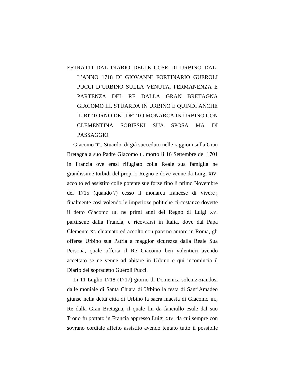ESTRATTI DAL DIARIO DELLE COSE DI URBINO DAL-L'ANNO 1718 DI GIOVANNI FORTINARIO GUEROLI PUCCI D'URBINO SULLA VENUTA, PERMANENZA E PARTENZA DEL RE DALLA GRAN BRETAGNA GIACOMO III. STUARDA IN URBINO E QUINDI ANCHE IL RITTORNO DEL DETTO MONARCA IN URBINO CON CLEMENTINA SOBIESKI SUA SPOSA MA DI PASSAGGIO.

Giacomo III., Stuardo, di già succeduto nelle raggioni sulla Gran Bretagna a suo Padre Giacomo II. morto li 16 Settembre del 1701 in Francia ove erasi rifugiato colla Reale sua famiglia ne grandissime torbidi del proprio Regno e dove venne da Luigi XIV. accolto ed assistito colle potente sue forze fino li primo Novembre del 1715 (quando ?) cesso il monarca francese di vivere ; finalmente cosi volendo le imperioze politiche circostanze dovette il detto Giacomo III. ne primi anni del Regno di Luigi XV. partirsene dalla Francia, e ricovrarsi in Italia, dove dal Papa Clemente XI. chiamato ed accolto con paterno amore in Roma, gli offerse Urbino sua Patria a maggior sicurezza dalla Reale Sua Persona, quale offerta il Re Giacomo ben volentieri avendo accettato se ne venne ad abitare in Urbino e qui incomincia il Diario del sopradetto Gueroli Pucci.

Li 11 Luglio 1718 (1717) giorno di Domenica soleniz-ziandosi dalle moniale di Santa Chiara di Urbino la festa di Sant'Amadeo giunse nella detta citta di Urbino la sacra maesta di Giacomo III., Re dalla Gran Bretagna, il quale fin da fanciullo esule dal suo Trono fu portato in Francia appresso Luigi XIV. da cui sempre con sovrano cordiale affetto assistito avendo tentato tutto il possibile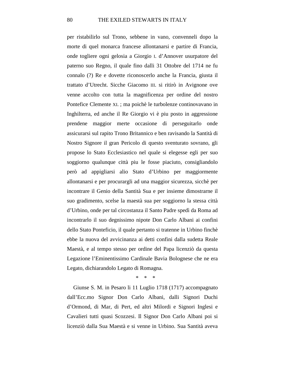per ristabilirlo sul Trono, sebbene in vano, convenneli dopo la morte di quel monarca francese allontanarsi e partire di Francia, onde togliere ogni gelosia a Giorgio I. d'Annover usurpatore del paterno suo Regno, il quale fino dalli 31 Ottobre del 1714 ne fu connalo (?) Re e dovette riconoscerlo anche la Francia, giusta il trattato d'Utrecht. Sicche Giacomo III. si ritirò in Avignone ove venne accolto con tutta la magnificenza per ordine del nostro Pontefice Clemente XI. ; ma poichè le turbolenze continovavano in Inghilterra, ed anche il Re Giorgio vi è piu posto in aggressione prendene maggior merte occasione di perseguitarlo onde assicurarsi sul rapito Trono Britannico e ben ravisando la Santità di Nostro Signore il gran Pericolo di questo sventurato sovrano, gli propose lo Stato Ecclesiastico nel quale si elegesse egli per suo soggiorno qualunque città piu le fosse piaciuto, consigliandolo però ad appigliarsi alio Stato d'Urbino per maggiormente allontanarsi e per procurargli ad una maggior sicurezza, sicchè per incontrare il Genio della Santità Sua e per insieme dimostrarne il suo gradimento, scelse la maestà sua per soggiorno la stessa città d'Urbino, onde per tal circostanza il Santo Padre spedì da Roma ad incontrarlo il suo degnissimo nipote Don Carlo Albani ai confini dello Stato Ponteficio, il quale pertanto si tratenne in Urbino finchè ebbe la nuova del avvicinanza ai detti confini dalla sudetta Reale Maestà, e al tempo stesso per ordine del Papa licenziò da questa Legazione l'Eminentissimo Cardinale Bavia Bolognese che ne era Legato, dichiarandolo Legato di Romagna.

\* \* \*

Giunse S. M. in Pesaro li 11 Luglio 1718 (1717) accompagnato dall'Ecc.mo Signor Don Carlo Albani, dalli Signori Duchi d'Ormond, di Mar, di Pert, ed altri Milordi e Signori Inglesi e Cavalieri tutti quasi Scozzesi. Il Signor Don Carlo Albani poi si licenziò dalla Sua Maestà e si venne in Urbino. Sua Santità aveva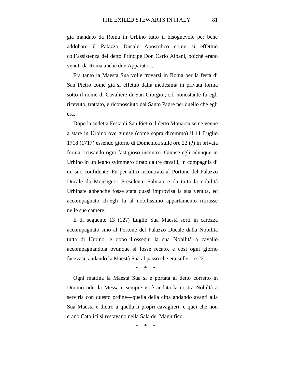gia mandato da Roma in Urbino tutto il bisognevole per bene addobare il Palazzo Ducale Apostolico come si effettuò coll'assistenza del detto Principe Don Carlo Albani, poichè erano venuti da Roma anche due Apparatori.

Fra tanto la Maestà Sua volle trovarsi in Roma per la festa di San Pietro come già si effetuò dalla medesima in privata forma sotto il nome di Cavaliere di San Giorgio ; ciò nonostante fu egli ricevuto, trattato, e riconosciuto dal Santo Padre per quello che egli era.

Dopo la sudetta Festa di San Pietro il detto Monarca se ne venne a stare in Urbino ove giunse (come sopra dicemmo) il 11 Luglio 1718 (1717) essendo giorno di Domenica sulle ore 22 (?) in privata forma ricusando ogni fastigioso incontro. Giunse egli adunque in Urbino in un legno svimmero tirato da tre cavalli, in compagnia di un suo confidente. Fu per altro incontrato al Portone del Palazzo Ducale da Monsignor Presidente Salviati e da tutta la nobilità Urbinate abbenche fosse stata quasi improvisa la sua venuta, ed accompagnato ch'egli fu al nobilissimo appartamento ritirasse nelle sue camere.

Il di seguente 13 (12?) Luglio Sua Maestà sorti in carozza accompagnato sino al Portone del Palazzo Ducale dalla Nobilità tutta di Urbino, e dopo l'ossequi la sua Nobilità a cavallo accompagnandola ovunque si fosse recato, e cosi ogni giorno facevasi, andando la Maestà Sua al passo che era sulle ore 22.

\* \* \*

Ogni mattina la Maestà Sua si e portata al detto corretto in Duomo udir la Messa e sempre vi è andata la nostra Nobiltà a servirla con questo ordine—quella della citta andando avanti alla Sua Maestà e dietro a quella li propri cavaglieri, e quei che non erano Catolici si restavano nella Sala del Magnifico.

\* \* \*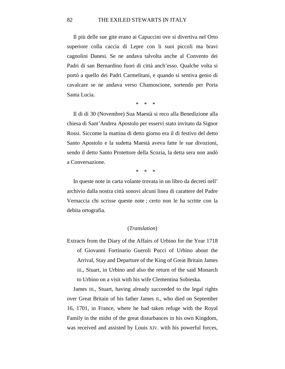Il più delle sue gite erano ai Capuccini ove si divertiva nel Orto superiore colla caccia di Lepre con li suoi piccoli ma bravi cagnolini Danesi. Se ne andava talvolta anche al Convento dei Padri di san Bernardino fuori di città anch'esso. Qualche volta si portò a quello dei Padri Carmelitani, e quando si sentiva genio di cavalcare se ne andava verso Chamoscione, sortendo per Porta Santa Lucia.

\* \* \*

Il di di 30 (Novembre) Sua Maestà si reco alla Benedizione alla chiesa di Sant'Andrea Apostolo per esservi stato invitato da Signor Rossi. Siccome la mattina di detto giorno era il di festivo del detto Santo Apostolo e la sudetta Maestà aveva fatte le sue divozioni, sendo il detto Santo Protettore della Scozia, la detta sera non andò a Conversazione.

\* \* \*

In queste note in carta volante trovata in un libro da decreti nell' archivio dalla nostra città sonovi alcuni linea di carattere del Padre Vernaccia chi scrisse queste note ; certo non le ha scritte con la debita ortografia.

#### (*Translation*)

Extracts from the Diary of the Affairs of Urbino for the Year 1718 of Giovanni Fortinario Gueroli Pucci of Urbino about the Arrival, Stay and Departure of the King of Great Britain James III., Stuart, in Urbino and also the return of the said Monarch to Urbino on a visit with his wife Clementina Sobieska.

James III., Stuart, having already succeeded to the legal rights over Great Britain of his father James II., who died on September 16, 1701, in France, where he had taken refuge with the Royal Family in the midst of the great disturbances in his own Kingdom, was received and assisted by Louis XIV. with his powerful forces,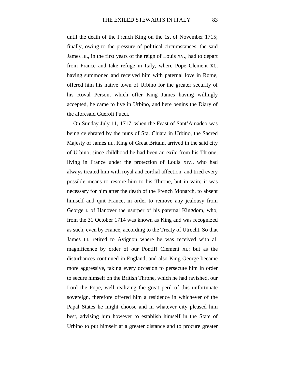until the death of the French King on the 1st of November 1715; finally, owing to the pressure of political circumstances, the said James III., in the first years of the reign of Louis XV., had to depart from France and take refuge in Italy, where Pope Clement XI., having summoned and received him with paternal love in Rome, offered him his native town of Urbino for the greater security of his Roval Person, which offer King James having willingly accepted, he came to live in Urbino, and here begins the Diary of the aforesaid Gueroli Pucci.

On Sunday July 11, 1717, when the Feast of Sant'Amadeo was being celebrated by the nuns of Sta. Chiara in Urbino, the Sacred Majesty of James III., King of Great Britain, arrived in the said city of Urbino; since childhood he had been an exile from his Throne, living in France under the protection of Louis XIV., who had always treated him with royal and cordial affection, and tried every possible means to restore him to his Throne, but in vain; it was necessary for him after the death of the French Monarch, to absent himself and quit France, in order to remove any jealousy from George I. of Hanover the usurper of his paternal Kingdom, who, from the 31 October 1714 was known as King and was recognized as such, even by France, according to the Treaty of Utrecht. So that James III. retired to Avignon where he was received with all magnificence by order of our Pontiff Clement XI.; but as the disturbances continued in England, and also King George became more aggressive, taking every occasion to persecute him in order to secure himself on the British Throne, which he had ravished, our Lord the Pope, well realizing the great peril of this unfortunate sovereign, therefore offered him a residence in whichever of the Papal States he might choose and in whatever city pleased him best, advising him however to establish himself in the State of Urbino to put himself at a greater distance and to procure greater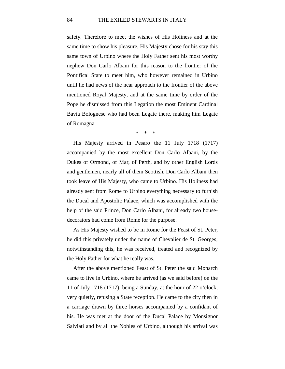safety. Therefore to meet the wishes of His Holiness and at the same time to show his pleasure, His Majesty chose for his stay this same town of Urbino where the Holy Father sent his most worthy nephew Don Carlo Albani for this reason to the frontier of the Pontifical State to meet him, who however remained in Urbino until he had news of the near approach to the frontier of the above mentioned Royal Majesty, and at the same time by order of the Pope he dismissed from this Legation the most Eminent Cardinal Bavia Bolognese who had been Legate there, making him Legate of Romagna.

 $\boldsymbol{\ast}$ 

His Majesty arrived in Pesaro the 11 July 1718 (1717) accompanied by the most excellent Don Carlo Albani, by the Dukes of Ormond, of Mar, of Perth, and by other English Lords and gentlemen, nearly all of them Scottish. Don Carlo Albani then took leave of His Majesty, who came to Urbino. His Holiness had already sent from Rome to Urbino everything necessary to furnish the Ducal and Apostolic Palace, which was accomplished with the help of the said Prince, Don Carlo Albani, for already two housedecorators had come from Rome for the purpose.

As His Majesty wished to be in Rome for the Feast of St. Peter, he did this privately under the name of Chevalier de St. Georges; notwithstanding this, he was received, treated and recognized by the Holy Father for what he really was.

After the above mentioned Feast of St. Peter the said Monarch came to live in Urbino, where he arrived (as we said before) on the 11 of July 1718 (1717), being a Sunday, at the hour of 22 o'clock, very quietly, refusing a State reception. He came to the city then in a carriage drawn by three horses accompanied by a confidant of his. He was met at the door of the Ducal Palace by Monsignor Salviati and by all the Nobles of Urbino, although his arrival was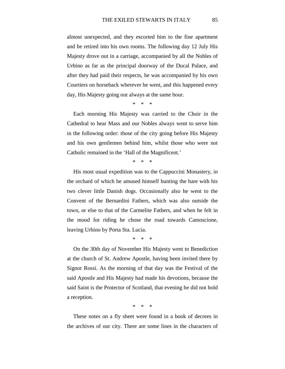almost unexpected, and they escorted him to the fine apartment and he retired into his own rooms. The following day 12 July His Majesty drove out in a carriage, accompanied by all the Nobles of Urbino as far as the principal doorway of the Ducal Palace, and after they had paid their respects, he was accompanied by his own Courtiers on horseback wherever he went, and this happened every day, His Majesty going out always at the same hour.

\* \* \*

Each morning His Majesty was carried to the Choir in the Cathedral to hear Mass and our Nobles always went to serve him in the following order: those of the city going before His Majesty and his own gentlemen behind him, whilst those who were not Catholic remained in the 'Hall of the Magnificent.'

\* \* \*

His most usual expedition was to the Cappuccini Monastery, in the orchard of which he amused himself hunting the hare with his two clever little Danish dogs. Occasionally also he went to the Convent of the Bernardini Fathers, which was also outside the town, or else to that of the Carmelite Fathers, and when he felt in the mood for riding he chose the road towards Camoscione, leaving Urbino by Porta Sta. Lucia.

\* \* \*

On the 30th day of November His Majesty went to Benediction at the church of St. Andrew Apostle, having been invited there by Signor Rossi. As the morning of that day was the Festival of the said Apostle and His Majesty had made his devotions, because the said Saint is the Protector of Scotland, that evening he did not hold a reception.

\* \* \*

These notes on a fly sheet were found in a book of decrees in the archives of our city. There are some lines in the characters of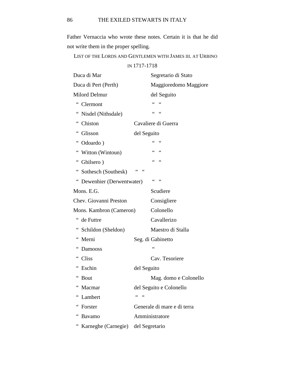Father Vernaccia who wrote these notes. Certain it is that he did not write them in the proper spelling.

LIST OF THE LORDS AND GENTLEMEN WITH JAMES III. AT URBINO

IN 1717-1718

| Duca di Mar                        | Segretario di Stato                              |  |
|------------------------------------|--------------------------------------------------|--|
| Duca di Pert (Perth)               | Maggioredomo Maggiore                            |  |
| <b>Milord Delmur</b>               | del Seguito                                      |  |
| 66<br>Clermont                     | $\epsilon$<br>$\zeta$ $\zeta$                    |  |
| " Nisdel (Nithsdale)               | $\epsilon$<br>66                                 |  |
| " Chiston                          | Cavaliere di Guerra                              |  |
| " Glisson                          | del Seguito                                      |  |
| " Odoardo)                         | $\zeta$ $\zeta$                                  |  |
| " Witton (Wintoun)                 | 66<br>66                                         |  |
| " Ghilsero)                        | 66<br>66                                         |  |
| " Sothesch (Southesk)              | $\mbox{\bf 6}$                                   |  |
| " Dewenhier (Derwentwater)         | $\mbox{\bf 6}$ $\mbox{\bf 6}$<br>$\zeta$ $\zeta$ |  |
| Mons. E.G.                         | Scudiere                                         |  |
| Chev. Giovanni Preston             | Consigliere                                      |  |
| Mons. Kambron (Cameron)            | Colonello                                        |  |
| de Futtre                          | Cavallerizo                                      |  |
| " Schildon (Sheldon)               | Maestro di Stalla                                |  |
| " Merni                            | Seg. di Gabinetto                                |  |
| $\epsilon$<br>Damooss              |                                                  |  |
| $\,$ $\,$ $\,$ $\,$ $\,$<br>Cliss  | Cav. Tesoriere                                   |  |
| " Eschin                           | del Seguito                                      |  |
| " Bout                             | Mag. domo e Colonello                            |  |
| Macmar                             | del Seguito e Colonello                          |  |
| $\,6\,6$<br>Lambert                | 66<br>$\zeta$ $\zeta$                            |  |
| Forster                            | Generale di mare e di terra                      |  |
| $\,$ $\,$ $\,$ $\,$ $\,$<br>Bavamo | Amministratore                                   |  |
| 66<br>Karneghe (Carnegie)          | del Segretario                                   |  |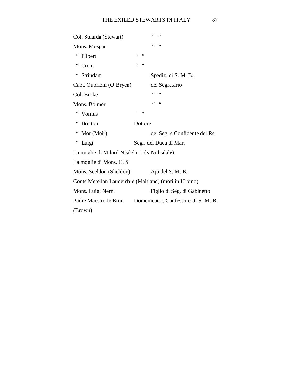| Col. Stuarda (Stewart)                                |                     | $\zeta \zeta$<br>$\zeta$ $\zeta$   |
|-------------------------------------------------------|---------------------|------------------------------------|
| Mons. Mospan                                          |                     | 66<br>66                           |
| 66<br>Filbert                                         | $\leq$ $\leq$<br>66 |                                    |
| 66<br>Crem                                            | 66<br>$\leq$        |                                    |
| 66<br>Strindam                                        |                     | Spediz. di S. M. B.                |
| Capt. Oubrioni (O'Bryen)                              |                     | del Segratario                     |
| Col. Broke                                            |                     | 66<br>66                           |
| Mons. Bolmer                                          |                     | 66<br>66                           |
| 66<br>Vornus                                          | 66<br>66            |                                    |
| <b>Bricton</b>                                        | Dottore             |                                    |
| $\ddot{\phantom{0}}$<br>Mor (Moir)                    |                     | del Seg. e Confidente del Re.      |
| $\epsilon$<br>Luigi                                   |                     | Segr. del Duca di Mar.             |
| La moglie di Milord Nisdel (Lady Nithsdale)           |                     |                                    |
| La moglie di Mons. C. S.                              |                     |                                    |
| Mons. Sceldon (Sheldon)                               |                     | Ajo del S. M. B.                   |
| Conte Metellan Lauderdale (Maitland) (mori in Urbino) |                     |                                    |
| Mons. Luigi Nerni                                     |                     | Figlio di Seg. di Gabinetto        |
| Padre Maestro le Brun                                 |                     | Domenicano, Confessore di S. M. B. |
| (Brown)                                               |                     |                                    |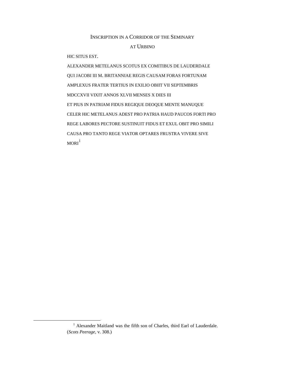### INSCRIPTION IN A CORRIDOR OF THE SEMINARY AT URBINO

HIC SITUS EST.

ALEXANDER METELANUS SCOTUS EX COMITIBUS DE LAUDERDALE QUI JACOBI III M. BRITANNIAE REGIS CAUSAM FORAS FORTUNAM AMPLEXUS FRATER TERTIUS IN EXILIO OBIIT VII SEPTEMBRIS MDCCXVII VIXIT ANNOS XLVII MENSES X DIES III ET PIUS IN PATRIAM FIDUS REGIQUE DEOQUE MENTE MANUQUE CELER HIC METELANUS ADEST PRO PATRIA HAUD PAUCOS FORTI PRO REGE LABORES PECTORE SUSTINUIT FIDUS ET EXUL OBIT PRO SIMILI CAUSA PRO TANTO REGE VIATOR OPTARES FRUSTRA VIVERE SIVE  $MORI<sup>1</sup>$  $MORI<sup>1</sup>$  $MORI<sup>1</sup>$ 

<span id="page-35-0"></span><sup>&</sup>lt;sup>1</sup> Alexander Maitland was the fifth son of Charles, third Earl of Lauderdale. (*Scots Peerage*, v. 308.)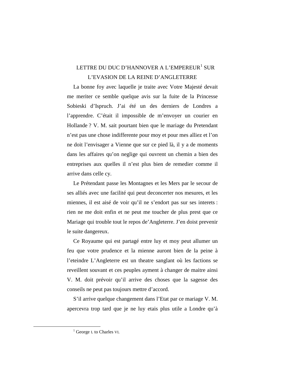## LETTRE DU DUC D'HANNOVER A L'EMPEREUR<sup>[1](#page-36-0)</sup> SUR L'EVASION DE LA REINE D'ANGLETERRE

La bonne foy avec laquelle je traite avec Votre Majesté devait me meriter ce semble quelque avis sur la fuite de la Princesse Sobieski d'Ispruch. J'ai été un des derniers de Londres a l'apprendre. C'était il impossible de m'envoyer un courier en Hollande ? V. M. sait pourtant bien que le mariage du Pretendant n'est pas une chose indifferente pour moy et pour mes alliez et l'on ne doit l'envisager a Vienne que sur ce pied là, il y a de moments dans les affaires qu'on neglige qui ouvrent un chemin a bien des entreprises aux quelles il n'est plus bien de remedier comme il arrive dans celle cy.

Le Prétendant passe les Montagnes et les Mers par le secour de ses alliés avec une facilité qui peut deconcerter nos mesures, et les miennes, il est aisé de voir qu'il ne s'endort pas sur ses interets : rien ne me doit enfin et ne peut me toucher de plus prest que ce Mariage qui trouble tout le repos de'Angleterre. J'en doist prevenir le suite dangereux.

Ce Royaume qui est partagé entre luy et moy peut allumer un feu que votre prudence et la mienne auront bien de la peine à l'eteindre L'Angleterre est un theatre sanglant où les factions se reveillent souvant et ces peuples ayment à changer de maitre ainsi V. M. doit prévoir qu'il arrive des choses que la sagesse des conseils ne peut pas toujours mettre d'accord.

S'il arrive quelque changement dans l'Etat par ce mariage V. M. apercevra trop tard que je ne luy etais plus utile a Londre qu'à

<span id="page-36-0"></span><sup>&</sup>lt;sup>1</sup> George I. to Charles VI.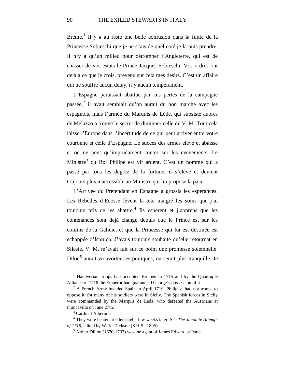Breme.<sup>[1](#page-37-0)</sup> Il y a au reste une belle confusion dans la fuitte de la Princesse Sobieschi que je ne scais de quel coté je la puis prendre. Il n'y a qu'un milieu pour détromper l'Angleterre, qui est de chasser de vos estats le Prince Jacques Sobieschi. Vos ordres ont dejà à ce que je crois, prevenu sur cela mes desirs. C'est un affaire qui ne souffre aucun delay, n'y aucun temperament.

L'Espagne paraissait abattue par ces pertes de la campagne  $passée<sub>z</sub><sup>2</sup>$  $passée<sub>z</sub><sup>2</sup>$  $passée<sub>z</sub><sup>2</sup>$  il avait semblait qu'on aurait du bon marché avec les espagnols, mais l'armée du Marquis de Lède, qui subsiste aupres de Melazzo a trouvé le secret de diminuer celle de V. M. Tout cela laisse l'Europe dans l'incertitude de ce qui peut arriver entre votre couronne et celle d'Espagne. Le succes des armes eleve et abaisse et on ne peut qu'imprudament conter sur les evenements. Le Ministre $3$  du Roi Philipe est vif ardent. C'est un homme qui a passé par tous les degrez de la fortune, il s'elève et devient toujours plus inaccessible au Ministre qui lui propose la paix.

L'Arrivée du Pretendant en Espagne a grossis les esperances. Les Rebelles d'Ecosse lèvent la tete malgré les soins que j'ai toujours pris de les abattre.<sup>[4](#page-37-3)</sup> Ils esperent et j'apprens que les contenances sont dejà changé depuis que le Prince est sur les confins de la Galicie, et que la Princesse qui lui est destinée est echappée d'Ispruch. J'avais toujours souhaité qu'elle retournat en Silesie. V. M. m'avait fait sur ce point une promesse solemnelle. Dilon<sup>[5](#page-37-4)</sup> aurait vu avorter ses pratiques, ou serait plus tranquille. Je

<span id="page-37-0"></span><sup>&</sup>lt;sup>1</sup> Hanoverian troops had occupied Bremen in 1715 and by the Quadruple Alliance of 1718 the Emperor had guaranteed George's possession of it.

<span id="page-37-1"></span> $2$  A French Army invaded Spain in April 1719. Philip V. had not troops to oppose it, for many of his soldiers were in Sicily. The Spanish forces in Sicily were commanded by the Marquis de Leda, who defeated the Austrians at Francavilla on June 27th.

<sup>&</sup>lt;sup>3</sup> Cardinal Alberoni.

<span id="page-37-4"></span><span id="page-37-3"></span><span id="page-37-2"></span><sup>4</sup> They were beaten at Glenshiel a few weeks later. See *The Jacobite Attempt of 1719*, edited by W. K. Dickson (S.H.S., 1895).

 $<sup>5</sup>$  Arthur Dillon (1670-1733) was the agent of James Edward at Paris.</sup>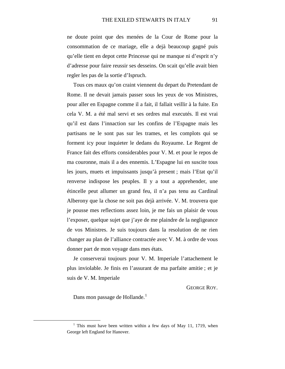ne doute point que des menées de la Cour de Rome pour la consommation de ce mariage, elle a dejà beaucoup gagné puis qu'elle tient en depot cette Princesse qui ne manque ni d'esprit n'y d'adresse pour faire reussir ses desseins. On scait qu'elle avait bien regler les pas de la sortie d'Ispruch.

Tous ces maux qu'on craint viennent du depart du Pretendant de Rome. Il ne devait jamais passer sous les yeux de vos Ministres, pour aller en Espagne comme il a fait, il fallait veillir à la fuite. En cela V. M. a été mal servi et ses ordres mal executés. Il est vrai qu'il est dans l'innaction sur les confins de l'Espagne mais les partisans ne le sont pas sur les trames, et les complots qui se forment icy pour inquieter le dedans du Royaume. Le Regent de France fait des efforts considerables pour V. M. et pour le repos de ma couronne, mais il a des ennemis. L'Espagne lui en suscite tous les jours, muets et impuissants jusqu'à present ; mais l'Etat qu'il renverse indispose les peuples. Il y a tout a apprehender, une étincelle peut allumer un grand feu, il n'a pas tenu au Cardinal Alberony que la chose ne soit pas dejà arrivée. V. M. trouvera que je pousse mes reflections assez loin, je me fais un plaisir de vous l'exposer, quelque sujet que j'aye de me plaindre de la negligeance de vos Ministres. Je suis toujours dans la resolution de ne rien changer au plan de l'alliance contractée avec V. M. à ordre de vous donner part de mon voyage dans mes états.

Je conserverai toujours pour V. M. Imperiale l'attachement le plus inviolable. Je finis en l'assurant de ma parfaite amitie ; et je suis de V. M. Imperiale

GEORGE ROY.

Dans mon passage de Hollande.<sup>[1](#page-38-0)</sup>

<span id="page-38-0"></span><sup>&</sup>lt;sup>1</sup> This must have been written within a few days of May 11, 1719, when George left England for Hanover.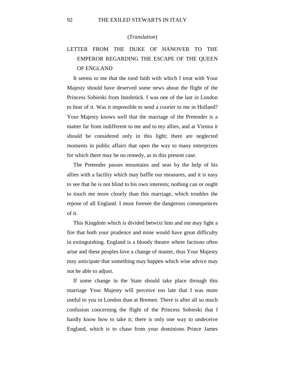#### (*Translation*)

## LETTER FROM THE DUKE OF HANOVER TO THE EMPEROR REGARDING THE ESCAPE OF THE QUEEN OF ENGLAND

It seems to me that the tood faith with which I treat with Your Majesty should have deserved some news about the flight of the Princess Sobieski from Innsbrück. I was one of the last in London to hear of it. Was it impossible to send a courier to me in Holland? Your Majesty knows well that the marriage of the Pretender is a matter far from indifferent to me and to my allies, and at Vienna it should be considered only in this light; there are neglected moments in public affairs that open the way to many enterprizes for which there may be no remedy, as in this present case.

The Pretender passes mountains and seas by the help of his allies with a facility which may baffle our measures, and it is easy to see that he is not blind to his own interests; nothing can or ought to touch me more closely than this marriage, which troubles the repose of all England. I must foresee the dangerous consequences of it.

This Kingdom which is divided betwixt him and me may light a fire that both your prudence and mine would have great difficulty in extinguishing. England is a bloody theatre where factions often arise and these peoples love a change of master, thus Your Majesty may anticipate that something may happen which wise advice may not be able to adjust.

If some change in the State should take place through this marriage Your Majesty will perceive too late that I was more useful to you in London than at Bremen. There is after all so much confusion concerning the flight of the Princess Sobieski that I hardly know how to take it; there is only one way to undeceive England, which is to chase from your dominions Prince James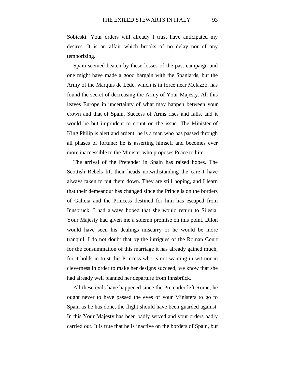Sobieski. Your orders will already I trust have anticipated my desires. It is an affair which brooks of no delay nor of any temporizing.

Spain seemed beaten by these losses of the past campaign and one might have made a good bargain with the Spaniards, but the Army of the Marquis de Lède, which is in force near Melazzo, has found the secret of decreasing the Army of Your Majesty. All this leaves Europe in uncertainty of what may happen between your crown and that of Spain. Success of Arms rises and falls, and it would be but imprudent to count on the issue. The Minister of King Philip is alert and ardent; he is a man who has passed through all phases of fortune; he is asserting himself and becomes ever more inaccessible to the Minister who proposes Peace to him.

The arrival of the Pretender in Spain has raised hopes. The Scottish Rebels lift their heads notwithstanding the care I have always taken to put them down. They are still hoping, and I learn that their demeanour has changed since the Prince is on the borders of Galicia and the Princess destined for him has escaped from Innsbrück. I had always hoped that she would return to Silesia. Your Majesty had given me a solemn promise on this point. Dilon would have seen his dealings miscarry or he would be more tranquil. I do not doubt that by the intrigues of the Roman Court for the consummation of this marriage it has already gained much, for it holds in trust this Princess who is not wanting in wit nor in cleverness in order to make her designs succeed; we know that she had already well planned her departure from Innsbrück.

All these evils have happened since the Pretender left Rome, he ought never to have passed the eyes of your Ministers to go to Spain as he has done, the flight should have been guarded against. In this Your Majesty has been badly served and your orders badly carried out. It is true that he is inactive on the borders of Spain, but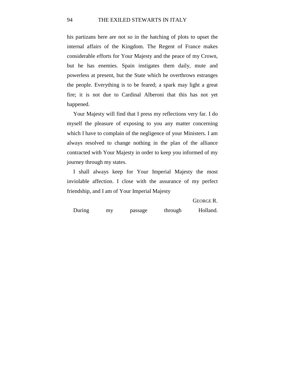his partizans here are not so in the hatching of plots to upset the internal affairs of the Kingdom. The Regent of France makes considerable efforts for Your Majesty and the peace of my Crown, but he has enemies. Spain instigates them daily, mute and powerless at present, but the State which he overthrows estranges the people. Everything is to be feared; a spark may light a great fire; it is not due to Cardinal Alberoni that this has not yet happened.

Your Majesty will find that I press my reflections very far. I do myself the pleasure of exposing to you any matter concerning which I have to complain of the negligence of your Ministers. I am always resolved to change nothing in the plan of the alliance contracted with Your Majesty in order to keep you informed of my journey through my states.

I shall always keep for Your Imperial Majesty the most inviolable affection. I close with the assurance of my perfect friendship, and I am of Your Imperial Majesty

GEORGE R.

During my passage through Holland.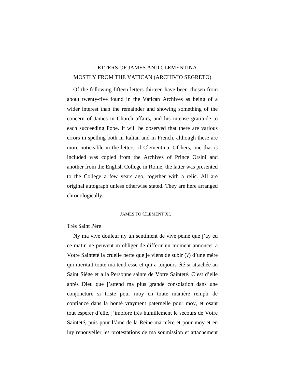## LETTERS OF JAMES AND CLEMENTINA MOSTLY FROM THE VATICAN (ARCHIVIO SEGRETO)

Of the following fifteen letters thirteen have been chosen from about twenty-five found in the Vatican Archives as being of a wider interest than the remainder and showing something of the concern of James in Church affairs, and his intense gratitude to each succeeding Pope. It will be observed that there are various errors in spelling both in Italian and in French, although these are more noticeable in the letters of Clementina. Of hers, one that is included was copied from the Archives of Prince Orsini and another from the English College in Rome; the latter was presented to the College a few years ago, together with a relic. All are original autograph unless otherwise stated. They are here arranged chronologically.

## JAMES TO CLEMENT XI.

## Très Saint Père

Ny ma vive douleur ny un sentiment de vive peine que j'ay eu ce matin ne peuvent m'obliger de differir un moment annoncer a Votre Sainteté la cruelle perte que je viens de subir (?) d'une mère qui meritait toute ma tendresse et qui a toujours été si attachée au Saint Siège et a la Personne sainte de Votre Sainteté. C'est d'elle après Dieu que j'attend ma plus grande consolation dans une conjoncture si triste pour moy en toute manière rempli de confiance dans la bonté vrayment paternelle pour moy, et osant tout esperer d'elle, j'implore très humillement le secours de Votre Sainteté, puis pour l'áme de la Reine ma mère et pour moy et en luy renouveller les protestations de ma soumission et attachement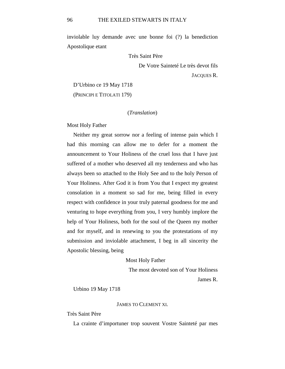inviolable luy demande avec une bonne foi (?) la benediction Apostolique etant

Très Saint Père

De Votre Sainteté Le très devot fils

JACQUES R.

D'Urbino ce 19 May 1718 (PRINCIPI E TITOLATI 179)

## (*Translation*)

Most Holy Father

Neither my great sorrow nor a feeling of intense pain which I had this morning can allow me to defer for a moment the announcement to Your Holiness of the cruel loss that I have just suffered of a mother who deserved all my tenderness and who has always been so attached to the Holy See and to the holy Person of Your Holiness. After God it is from You that I expect my greatest consolation in a moment so sad for me, being filled in every respect with confidence in your truly paternal goodness for me and venturing to hope everything from you, I very humbly implore the help of Your Holiness, both for the soul of the Queen my mother and for myself, and in renewing to you the protestations of my submission and inviolable attachment, I beg in all sincerity the Apostolic blessing, being

#### Most Holy Father

The most devoted son of Your Holiness

James R.

Urbino 19 May 1718

#### JAMES TO CLEMENT XI.

Très Saint Père

La crainte d'importuner trop souvent Vostre Sainteté par mes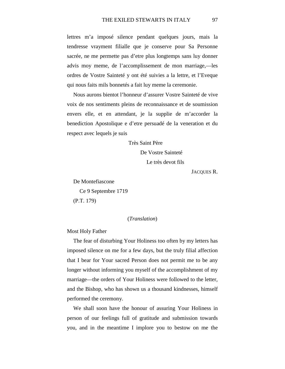lettres m'a imposé silence pendant quelques jours, mais la tendresse vrayment filialle que je conserve pour Sa Personne sacrée, ne me permette pas d'etre plus longtemps sans luy donner advis moy meme, de l'accomplissement de mon marriage,—les ordres de Vostre Sainteté y ont été suivies a la lettre, et l'Eveque qui nous faits mils bonnetés a fait luy meme la ceremonie.

Nous aurons bientot l'honneur d'assurer Vostre Sainteté de vive voix de nos sentiments pleins de reconnaissance et de soumission envers elle, et en attendant, je la supplie de m'accorder la benediction Apostolique e d'etre persuadé de la veneration et du respect avec lequels je suis

Très Saint Père

De Vostre Sainteté Le très devot fils

JACQUES R.

De Montefiascone

Ce 9 Septembre 1719

(P.T. 179)

#### (*Translation*)

#### Most Holy Father

The fear of disturbing Your Holiness too often by my letters has imposed silence on me for a few days, but the truly filial affection that I bear for Your sacred Person does not permit me to be any longer without informing you myself of the accomplishment of my marriage—the orders of Your Holiness were followed to the letter, and the Bishop, who has shown us a thousand kindnesses, himself performed the ceremony.

We shall soon have the honour of assuring Your Holiness in person of our feelings full of gratitude and submission towards you, and in the meantime I implore you to bestow on me the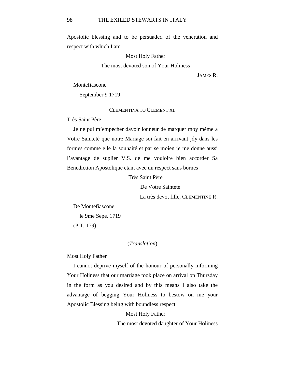Apostolic blessing and to be persuaded of the veneration and respect with which I am

Most Holy Father

The most devoted son of Your Holiness

JAMES R.

Montefiascone

September 9 1719

CLEMENTINA TO CLEMENT XI.

Très Saint Père

Je ne pui m'empecher davoir lonneur de marquer moy méme a Votre Sainteté que notre Mariage soi fait en arrivant jdy dans les formes comme elle la souhaité et par se moien je me donne aussi l'avantage de suplier V.S. de me vouloire bien accorder Sa Benediction Apostolique etant avec un respect sans bornes

Très Saint Père

De Votre Sainteté

La très devot fille, CLEMENTINE R.

De Montefiascone le 9me Sepe. 1719 (P.T. 179)

## (*Translation*)

Most Holy Father

I cannot deprive myself of the honour of personally informing Your Holiness that our marriage took place on arrival on Thursday in the form as you desired and by this means I also take the advantage of begging Your Holiness to bestow on me your Apostolic Blessing being with boundless respect

Most Holy Father

The most devoted daughter of Your Holiness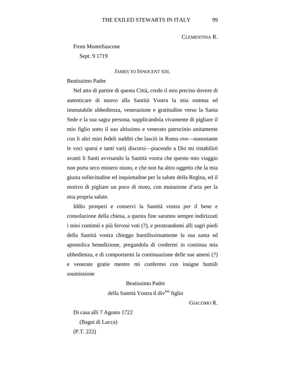## CLEMENTINA R.

From Montefiascone

Sept. 9 1719

JAMES TO INNOCENT XIII.

Beatissimo Padre

Nel atto di partire di questa Città, credo il mio preciso dovere di autenticare di nuovo alla Santità Vostra la mia somma ed immutabile ubbedienza, venerazione e gratitudine verso la Santa Sede e la sua sagra persona, supplicandola vivamente di pigliare il mio figlio sotto il suo altissimo e venerato patrocinio unitamente con li altri miei fedeli sudditi che lasciò in Roma ove—nonostante le voci sparsi e tanti varij discorsi—piacendo a Dio mi ristabilirò avanti li Santi avvisando la Santità vostra che questo mio viaggio non porta seco mistero niuno, e che non ha altro oggetto che la mia giusta sollecitudine ed inquietudine per la salute della Regina, ed il motivo di pigliare un poco di moto, con mutazione d'aria per la mia propria salute.

Iddio prosperi e conservi la Santità vostra per il bene e consolazione della chiesa, a questa fine saranno sempre indirizzati i miei contimii e più fervosi voti (?), e prostrandomi alli sagri piedi della Santità vostra chieggo humilissimamente la sua santa ed apostolica benedizione, pregandola di credermi in continua mia ubbedienza, e di comportarmi la continuazione delle sue ameni (?) e venerate gratie mentre mi confermo con insigne humili soumissione

## Beatissimo Padre

della Santità Vostra il div<sup>mo</sup> figlio

GIACOMO R.

Di casa alli 7 Agosto 1722 (Bagni di Lucca) (P.T. 222)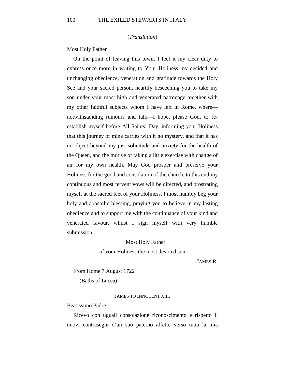(*Translation*)

Most Holy Father

On the point of leaving this town, I feel it my clear duty to express once more in writing to Your Holiness my decided and unchanging obedience, veneration and gratitude towards the Holy See and your sacred person, heartily beseeching you to take my son under your most high and venerated patronage together with my other faithful subjects whom I have left in Rome, where notwithstanding rumours and talk—I hope, please God, to reestablish myself before All Saints' Day, informing your Holiness that this journey of mine carries with it no mystery, and that it has no object beyond my just solicitude and anxiety for the health of the Queen, and the motive of taking a little exercise with change of air for my own health. May God prosper and preserve your Holiness for the good and consolation of the church, to this end my continuous and most fervent vows will be directed, and prostrating myself at the sacred feet of your Holiness, I most humbly beg your holy and apostolic blessing, praying you to believe in my lasting obedience and to support me with the continuance of your kind and venerated favour, whilst I sign myself with very humble submission

#### Most Holy Father

of your Holiness the most devoted son

JAMES R.

From Home 7 August 1722 (Baths of Lucca)

#### JAMES TO INNOCENT XIII.

#### Beatissimo Padre

Ricevo con uguali consolazione riconoscimento e rispetto li nuovi contrasegni d'un suo paterno affetto verso tutta la mia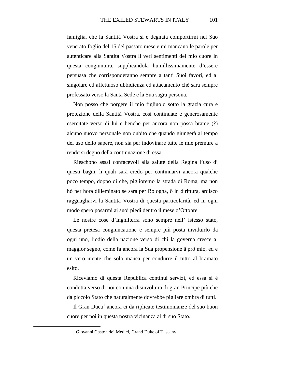famiglia, che la Santità Vostra si e degnata comportirmi nel Suo venerato foglio del 15 del passato mese e mi mancano le parole per autenticare alla Santità Vostra li veri sentimenti del mio cuore in questa congiuntura, supplicandola humillissimamente d'essere persuasa che corrisponderanno sempre a tanti Suoi favori, ed al singolare ed affettuoso ubbidienza ed attacamento chè sara sempre professato verso la Santa Sede e la Sua sagra persona.

Non posso che porgere il mio figliuolo sotto la grazia cura e protezione della Santità Vostra, cosi continuate e generosamente esercitate verso di lui e benche per ancora non possa brame (?) alcuno nuovo personale non dubito che quando giungerà al tempo del uso dello sapere, non sia per indovinare tutte le mie premure a rendersi degno della continuazione di essa.

Rieschono assai confacevoli alla salute della Regina l'uso di questi bagni, li quali sarà credo per continuarvi ancora qualche poco tempo, doppo di che, piglioremo la strada di Roma, ma non hò per hora dilleminato se sara per Bologna, ô in dirittura, ardisco ragguagliarvi la Santità Vostra di questa particolarità, ed in ogni modo spero posarmi ai suoi piedi dentro il mese d'Ottobre.

Le nostre cose d'Inghilterra sono sempre nell' istesso stato, questa pretesa congiuncatione e sempre più posta inviduirlo da ogni uno, l'odio della nazione verso di chi la governa cresce al maggior segno, come fa ancora la Sua propensione â prô mio, ed e un vero niente che solo manca per condurre il tutto al bramato esito.

Riceviamo di questa Republica continüi servizi, ed essa si è condotta verso di noi con una disinvoltura di gran Principe più che da piccolo Stato che naturalmente dovrebbe pigliare ombra di tutti.

<span id="page-48-0"></span>Il Gran Duca<sup>[1](#page-48-0)</sup> ancora ci da riplicate testimonianze del suo buon cuore per noi in questa nostra vicinanza al di suo Stato.

<sup>&</sup>lt;sup>1</sup> Giovanni Gaston de' Medici, Grand Duke of Tuscany.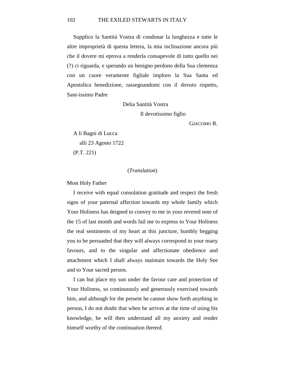#### 102 THE EXILED STEWARTS IN ITALY

Supplico la Santità Vostra di condonar la lunghezza e tutte le altre improprietà di questa lettera, la mia inclinazione ancora più che il dovere mi eprova a renderla consapevole di tutto quello nei (?) ci riguarda, e sperando un benigno perdono della Sua clemenza con un cuore veramente figliale imploro la Sua Santa ed Apostolica benedizione, rassegnandomi con il dovuto rispetto, Sant-issimo Padre

Delia Santità Vostra

Il devotissimo figlio

GIACOMO R.

A li Bagni di Lucca alli 23 Agosto 1722 (P.T. 221)

#### (*Translation*)

Most Holy Father

I receive with equal consolation gratitude and respect the fresh signs of your paternal affection towards my whole family which Your Holiness has deigned to convey to me in your revered note of the 15 of last month and words fail me to express to Your Holiness the real sentiments of my heart at this juncture, humbly begging you to be persuaded that they will always correspond to your many favours, and to the singular and affectionate obedience and attachment which I shall always maintain towards the Holy See and to Your sacred person.

I can but place my son under the favour care and protection of Your Holiness, so continuously and generously exercised towards him, and although for the present he cannot show forth anything in person, I do not doubt that when he arrives at the time of using his knowledge, he will then understand all my anxiety and render himself worthy of the continuation thereof.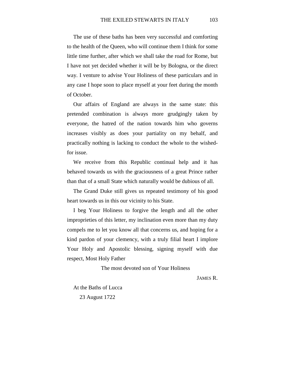The use of these baths has been very successful and comforting to the health of the Queen, who will continue them I think for some little time further, after which we shall take the road for Rome, but I have not yet decided whether it will be by Bologna, or the direct way. I venture to advise Your Holiness of these particulars and in any case I hope soon to place myself at your feet during the month of October.

Our affairs of England are always in the same state: this pretended combination is always more grudgingly taken by everyone, the hatred of the nation towards him who governs increases visibly as does your partiality on my behalf, and practically nothing is lacking to conduct the whole to the wishedfor issue.

We receive from this Republic continual help and it has behaved towards us with the graciousness of a great Prince rather than that of a small State which naturally would be dubious of all.

The Grand Duke still gives us repeated testimony of his good heart towards us in this our vicinity to his State.

I beg Your Holiness to forgive the length and all the other improprieties of this letter, my inclination even more than my duty compels me to let you know all that concerns us, and hoping for a kind pardon of your clemency, with a truly filial heart I implore Your Holy and Apostolic blessing, signing myself with due respect, Most Holy Father

The most devoted son of Your Holiness

JAMES R.

At the Baths of Lucca 23 August 1722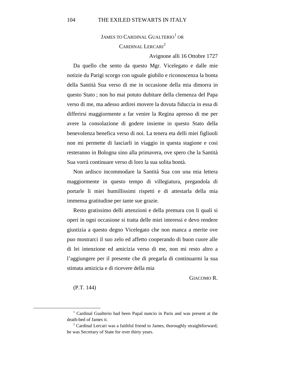## JAMES TO CARDINAL GUALTERIO<sup>[1](#page-51-0)</sup> OR CARDINAL LERCARI<sup>[2](#page-51-1)</sup>

Avignone alli 16 Ottobre 1727

Da quello che sento da questo Mgr. Vicelegato e dalle mie notizie da Parigi scorgo con uguale giubilo e riconoscenza la bonta della Santità Sua verso di me in occasione della mia dimorra in questo Stato ; non ho mai potuto dubitare della clemenza del Papa verso di me, ma adesso ardirei movere la dovuta fiduccia in essa di differirsi maggiormente a far venire la Regina apresso di me per avere la consolazione di godere insieme in questo Stato della benevolenza benefica verso di noi. La tenera eta delli miei figliuoli non mi permette di lasciarli in viaggio in questa stagione e cosi resteranno in Bologna sino alla primavera, ove spero che la Santità Sua vorrà continuare verso di loro la sua solita bontà.

Non ardisco incommodare la Santità Sua con una mia lettera maggiormente in questo tempo di villegiatura, pregandola di portarle li miei humillissimi rispetti e di attestarla della mia immensa gratitudine per tante sue grazie.

Resto gratissimo delli attenzioni e della premura con li quali si operi in ogni occasione si tratta delle miei interessi e devo rendere giustizia a questo degno Vicelegato che non manca a merite ove puo mostrarci il suo zelo ed affetto cooperando di buon cuore alle di lei intenzione ed amicizia verso di me, non mi resto altro a l'aggiungere per il presente che di pregarla di continuarmi la sua stimata amizicia e di ricevere della mia

GIACOMO R.

(P.T. 144)

<span id="page-51-0"></span><sup>&</sup>lt;sup>1</sup> Cardinal Gualterio had been Papal nuncio in Paris and was present at the death-bed of James II.

<span id="page-51-1"></span> $2$  Cardinal Lercari was a faithful friend to James, thoroughly straightforward; he was Secretary of State for over thirty years.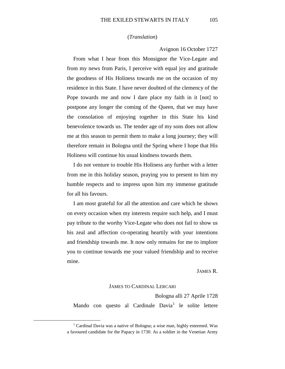## (*Translation*)

Avignon 16 October 1727

From what I hear from this Monsignor the Vice-Legate and from my news from Paris, I perceive with equal joy and gratitude the goodness of His Holiness towards me on the occasion of my residence in this State. I have never doubted of the clemency of the Pope towards me and now I dare place my faith in it [not] to postpone any longer the coming of the Queen, that we may have the consolation of enjoying together in this State his kind benevolence towards us. The tender age of my sons does not allow me at this season to permit them to make a long journey; they will therefore remain in Bologna until the Spring where I hope that His Holiness will continue his usual kindness towards them.

I do not venture to trouble His Holiness any further with a letter from me in this holiday season, praying you to present to him my humble respects and to impress upon him my immense gratitude for all his favours.

I am most grateful for all the attention and care which he shows on every occasion when my interests require such help, and I must pay tribute to the worthy Vice-Legate who does not fail to show us his zeal and affection co-operating heartily with your intentions and friendship towards me. It now only remains for me to implore you to continue towards me your valued friendship and to receive mine.

#### JAMES R.

#### JAMES TO CARDINAL LERCARI

Bologna alli 27 Aprile 1728 Mando con questo al Cardinale  $David<sup>1</sup>$  $David<sup>1</sup>$  $David<sup>1</sup>$  le solite lettere

<span id="page-52-0"></span><sup>&</sup>lt;sup>1</sup> Cardinal Davia was a native of Bologna; a wise man, highly esteemed. Was a favoured candidate for the Papacy in 1730. As a soldier in the Venetian Army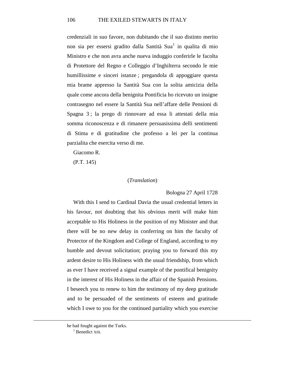credenziali in suo favore, non dubitando che il suo distinto merito non sia per essersi gradito dalla Santità Sua<sup>[1](#page-53-0)</sup> in qualita di mio Ministro e che non avra anche nueva induggio conferirle le facolta di Protettore del Regno e Colleggio d'Inghilterra secondo le mie humillissime e sinceri istanze ; pregandola di appoggiare questa mia brame appresso la Santità Sua con la solita amicizia della quale come ancora della benignita Pontificia ho ricevuto un insigne contrasegno nel essere la Santità Sua nell'affare delle Pensioni di Spagna 3 ; la prego di rinnovare ad essa li attestati della mia somma riconoscenza e di rimanere persuasissima delli sentimenti di Stima e di gratitudine che professo a lei per la continua parzialita che esercita verso di me.

Giacomo R.

(P.T. 145)

## (*Translation*)

#### Bologna 27 April 1728

With this I send to Cardinal Davia the usual credential letters in his favour, not doubting that his obvious merit will make him acceptable to His Holiness in the position of my Minister and that there will be no new delay in conferring on him the faculty of Protector of the Kingdom and College of England, according to my humble and devout solicitation; praying you to forward this my ardent desire to His Holiness with the usual friendship, from which as ever I have received a signal example of the pontifical benignity in the interest of His Holiness in the affair of the Spanish Pensions. I beseech you to renew to him the testimony of my deep gratitude and to be persuaded of the sentiments of esteem and gratitude which I owe to you for the continued partiality which you exercise

<span id="page-53-0"></span> $\overline{a}$ 

he had fought against the Turks.

 $<sup>1</sup>$  Benedict XIII.</sup>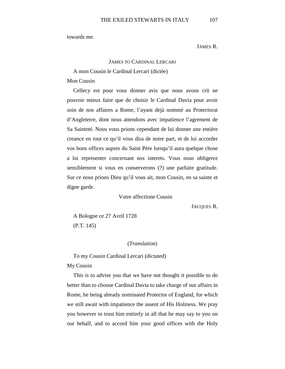towards me.

JAMES R.

## JAMES TO CARDINAL LERCARI

## A mon Cousin le Cardinal Lercari (dictée)

Mon Cousin

Cellecy est pour vous donner avis que nous avons crü ne pouvoir mieux faire que de choisir le Cardinal Davia pour avoir soin de nos affaires a Rome, l'ayant dejà nommé au Protectorat d'Angleterre, dont nous attendons avec impatience l'agrement de Sa Sainteté. Nous vous prions cependant de lui donner une entière creance en tout ce qu'il vous dira de notre part, et de lui accorder vos bons offices aupres du Saint Père lorsqu'il aura quelque chose a lui representer concernant nos interets. Vous nous obligerez sensiblement si vous en conserverons (?) une parfaite gratitude. Sur ce nous prions Dieu qu'il vous ait, mon Cousin, en sa sainte et digne garde.

Votre affectione Cousin

JACQUES R.

A Bologne ce 27 Avril 1728 (P.T. 145)

## (*Translation*)

To my Cousin Cardinal Lercari (dictated)

My Cousin

This is to advise you that we have not thought it possible to do better than to choose Cardinal Davia to take charge of our affairs in Rome, he being already nominated Protector of England, for which we still await with impatience the assent of His Holiness. We pray you however to trust him entirely in all that he may say to you on our behalf, and to accord him your good offices with the Holy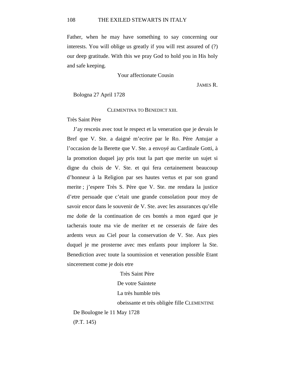Father, when he may have something to say concerning our interests. You will oblige us greatly if you will rest assured of (?) our deep gratitude. With this we pray God to hold you in His holy and safe keeping.

Your affectionate Cousin

JAMES R.

Bologna 27 April 1728

CLEMENTINA TO BENEDICT XIII.

Très Saint Père

J'ay resceüs avec tout le respect et la veneration que je devais le Bref que V. Ste. a daigné m'ecrire par le Ro. Père Antujar a l'occasion de la Berette que V. Ste. a envoyé au Cardinale Gotti, à la promotion duquel jay pris tout la part que merite un sujet si digne du chois de V. Ste. et qui fera certainement beaucoup d'honneur à la Religion par ses hautes vertus et par son grand merite ; j'espere Très S. Père que V. Ste. me rendara la justice d'etre persuade que c'etait une grande consolation pour moy de savoir encor dans le souvenir de V. Ste. avec les assurances qu'elle me done de la continuation de ces bontés a mon egard que je tacherais toute ma vie de meriter et ne cesserais de faire des ardents veux au Ciel pour la conservation de V. Ste. Aux pies duquel je me prosterne avec mes enfants pour implorer la Ste. Benediction avec toute la soumission et veneration possible Etant sincerement come je dois etre

Très Saint Père De votre Saintete La très humble très obeissante et très obligèe fille CLEMENTINE De Boulogne le 11 May 1728

(P.T. 145)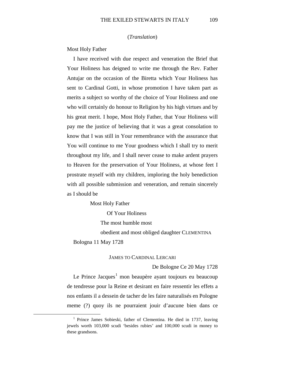## (*Translation*)

Most Holy Father

I have received with due respect and veneration the Brief that Your Holiness has deigned to write me through the Rev. Father Antujar on the occasion of the Biretta which Your Holiness has sent to Cardinal Gotti, in whose promotion I have taken part as merits a subject so worthy of the choice of Your Holiness and one who will certainly do honour to Religion by his high virtues and by his great merit. I hope, Most Holy Father, that Your Holiness will pay me the justice of believing that it was a great consolation to know that I was still in Your remembrance with the assurance that You will continue to me Your goodness which I shall try to merit throughout my life, and I shall never cease to make ardent prayers to Heaven for the preservation of Your Holiness, at whose feet I prostrate myself with my children, imploring the holy benediction with all possible submission and veneration, and remain sincerely as I should be

Most Holy Father

Of Your Holiness

The most humble most

obedient and most obliged daughter CLEMENTINA

Bologna 11 May 1728

### JAMES TO CARDINAL LERCARI

De Bologne Ce 20 May 1728

Le Prince Jacques<sup>[1](#page-56-0)</sup> mon beaupère ayant toujours eu beaucoup de tendresse pour la Reine et desirant en faire ressentir les effets a nos enfants il a dessein de tacher de les faire naturalisés en Pologne meme (?) quoy ils ne pourraient jouir d'aucune bien dans ce

<span id="page-56-0"></span><sup>&</sup>lt;sup>1</sup> Prince James Sobieski, father of Clementina. He died in 1737, leaving jewels worth 103,000 scudi 'besides rubies' and 100,000 scudi in money to these grandsons.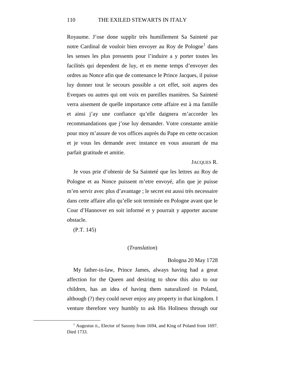#### 110 THE EXILED STEWARTS IN ITALY

Royaume. J'ose done supplir très humillement Sa Sainteté par notre Cardinal de vouloir bien envoyer au Roy de Pologne<sup>[1](#page-57-0)</sup> dans les senses les plus pressents pour l'induire a y porter toutes les facilités qui dependent de luy, et en meme temps d'envoyer des ordres au Nonce afin que de contenance le Prince Jacques, il puisse luy donner tout le secours possible a cet effet, soit aupres des Eveques ou autres qui ont voix en pareilles manières. Sa Sainteté verra aisement de quelle importance cette affaire est à ma famille et ainsi j'ay une confiance qu'elle daignera m'accorder les recommandations que j'ose luy demander. Votre constante amitie pour moy m'assure de vos offices auprès du Pape en cette occasion et je vous les demande avec instance en vous assurant de ma parfait gratitude et amitie.

#### JACOUES R.

Je vous prie d'obtenir de Sa Sainteté que les lettres au Roy de Pologne et au Nonce puissent m'etre envoyé, afin que je puisse m'en servir avec plus d'avantage ; le secret est aussi très necessaire dans cette affaire afin qu'elle soit terminée en Pologne avant que le Cour d'Hannover en soit informé et y pourrait y apporter aucune obstacle.

(P.T. 145)

#### (*Translation*)

#### Bologna 20 May 1728

My father-in-law, Prince James, always having had a great affection for the Queen and desiring to show this also to our children, has an idea of having them naturalized in Poland, although (?) they could never enjoy any property in that kingdom. I venture therefore very humbly to ask His Holiness through our

<span id="page-57-0"></span><sup>&</sup>lt;sup>1</sup> Augustus II., Elector of Saxony from 1694, and King of Poland from 1697. Died 1733.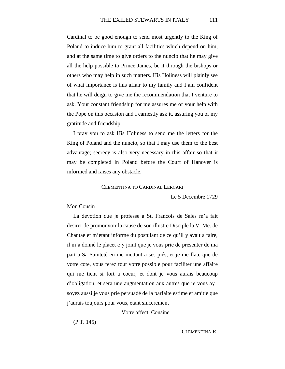Cardinal to be good enough to send most urgently to the King of Poland to induce him to grant all facilities which depend on him, and at the same time to give orders to the nuncio that he may give all the help possible to Prince James, be it through the bishops or others who may help in such matters. His Holiness will plainly see of what importance is this affair to my family and I am confident that he will deign to give me the recommendation that I venture to ask. Your constant friendship for me assures me of your help with the Pope on this occasion and I earnestly ask it, assuring you of my gratitude and friendship.

I pray you to ask His Holiness to send me the letters for the King of Poland and the nuncio, so that I may use them to the best advantage; secrecy is also very necessary in this affair so that it may be completed in Poland before the Court of Hanover is informed and raises any obstacle.

#### CLEMENTINA TO CARDINAL LERCARI

Le 5 Decembre 1729

#### Mon Cousin

La devotion que je professe a St. Francois de Sales m'a fait desirer de promouvoir la cause de son illustre Disciple la V. Me. de Chantae et m'etant informe du postulant de ce qu'il y avait a faire, il m'a donné le placet c'y joint que je vous prie de presenter de ma part a Sa Sainteté en me mettant a ses piés, et je me flate que de votre cote, vous ferez tout votre possible pour faciliter une affaire qui me tient si fort a coeur, et dont je vous aurais beaucoup d'obligation, et sera une augmentation aux autres que je vous ay ; soyez aussi je vous prie persuadé de la parfaite estime et amitie que j'aurais toujours pour vous, etant sincerement

Votre affect. Cousine

(P.T. 145)

CLEMENTINA R.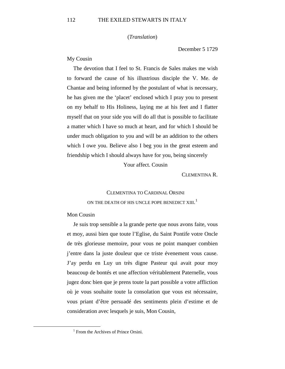## (*Translation*)

December 5 1729

## My Cousin

The devotion that I feel to St. Francis de Sales makes me wish to forward the cause of his illustrious disciple the V. Me. de Chantae and being informed by the postulant of what is necessary, he has given me the 'placet' enclosed which I pray you to present on my behalf to His Holiness, laying me at his feet and I flatter myself that on your side you will do all that is possible to facilitate a matter which I have so much at heart, and for which I should be under much obligation to you and will be an addition to the others which I owe you. Believe also I beg you in the great esteem and friendship which I should always have for you, being sincerely

Your affect. Cousin

CLEMENTINA R.

## CLEMENTINA TO CARDINAL ORSINI ON THE DEATH OF HIS UNCLE POPE BENEDICT  $\boldsymbol{\mathrm{XIII.}}^{1}$  $\boldsymbol{\mathrm{XIII.}}^{1}$  $\boldsymbol{\mathrm{XIII.}}^{1}$

## Mon Cousin

Je suis trop sensible a la grande perte que nous avons faite, vous et moy, aussi bien que toute l'Eglise, du Saint Pontife votre Oncle de très glorieuse memoire, pour vous ne point manquer combien j'entre dans la juste douleur que ce triste évenement vous cause. J'ay perdu en Luy un très digne Pasteur qui avait pour moy beaucoup de bontés et une affection véritablement Paternelle, vous jugez donc bien que je prens toute la part possible a votre affliction où je vous souhaite toute la consolation que vous est nécessaire, vous priant d'être persuadé des sentiments plein d'estime et de consideration avec lesquels je suis, Mon Cousin,

<span id="page-59-0"></span><sup>&</sup>lt;sup>1</sup> From the Archives of Prince Orsini.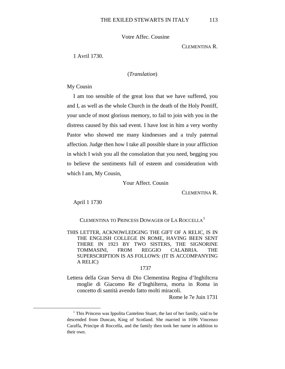Votre Affec. Cousine

CLEMENTINA R.

1 Avril 1730.

## (*Translation*)

My Cousin

I am too sensible of the great loss that we have suffered, you and I, as well as the whole Church in the death of the Holy Pontiff, your uncle of most glorious memory, to fail to join with you in the distress caused by this sad event. I have lost in him a very worthy Pastor who showed me many kindnesses and a truly paternal affection. Judge then how I take all possible share in your affliction in which I wish you all the consolation that you need, begging you to believe the sentiments full of esteem and consideration with which I am, My Cousin,

Your Affect. Cousin

CLEMENTINA R.

April 1 1730

CLEMENTINA TO PRINCESS DOWAGER OF LA ROCCELLA<sup>[1](#page-60-0)</sup>

THIS LETTER, ACKNOWLEDGING THE GIFT OF A RELIC, IS IN THE ENGLISH COLLEGE IN ROME, HAVING BEEN SENT THERE IN 1923 BY TWO SISTERS, THE SIGNORINE TOMMASINI, FROM REGGIO CALABRIA. THE SUPERSCRIPTION IS AS FOLLOWS: (IT IS ACCOMPANYING A RELIC)

#### 1737

Lettera della Gran Serva di Dio Clementina Regina d'Inghiltcrra moglie di Giacomo Re d'Inghilterra, morta in Roma in concetto di santità avendo fatto molti miracoli.

Rome le 7e Juin 1731

<span id="page-60-0"></span><sup>&</sup>lt;sup>1</sup> This Princess was Ippolita Cantelmo Stuart, the last of her family, said to be descended from Duncan, King of Scotland. She married in 1696 Vincenzo Caraffa, Principe di Roccella, and the family then took her name in addition to their own.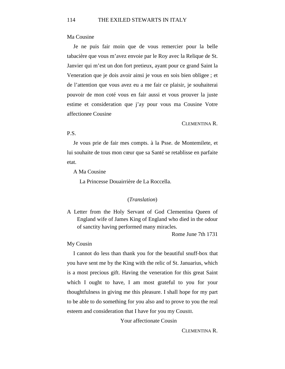## Ma Cousine

Je ne puis fair moin que de vous remercier pour la belle tabacière que vous m'avez envoie par le Roy avec la Relique de St. Janvier qui m'est un don fort pretieux, ayant pour ce grand Saint la Veneration que je dois avoir ainsi je vous en sois bien obligee ; et de l'attention que vous avez eu a me fair ce plaisir, je souhaiterai pouvoir de mon coté vous en fair aussi et vous prouver la juste estime et consideration que j'ay pour vous ma Cousine Votre affectionee Cousine

#### CLEMENTINA R.

## P.S.

Je vous prie de fair mes compts. à la Psse. de Montemilete, et lui souhaite de tous mon cœur que sa Santé se retablisse en parfaite etat.

A Ma Cousine

La Princesse Douairrière de La Roccella.

## (*Translation*)

A Letter from the Holy Servant of God Clementina Queen of England wife of James King of England who died in the odour of sanctity having performed many miracles.

Rome June 7th 1731

#### My Cousin

I cannot do less than thank you for the beautiful snuff-box that you have sent me by the King with the relic of St. Januarius, which is a most precious gift. Having the veneration for this great Saint which I ought to have, I am most grateful to you for your thoughtfulness in giving me this pleasure. I shall hope for my part to be able to do something for you also and to prove to you the real esteem and consideration that I have for you my CousIII.

Your affectionate Cousin

CLEMENTINA R.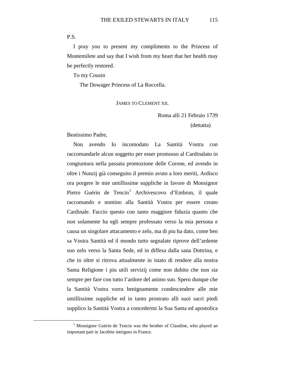P.S.

I pray you to present my compliments to the Princess of Montemilete and say that I wish from my heart that her health may be perfectly restored.

To my Cousin

The Dowager Princess of La Roccella.

## JAMES TO CLEMENT XII.

Roma alli 21 Febraio 1739

(dettatta)

Beatissimo Padre,

Non avendo Io incomodato La Santità Vostra con raccomandarle alcun soggetto per esser promosso al Cardinalato in congiuntura nella passata promozione delle Corone, ed avendo in oltre i Nunzij già conseguito il premio avuto a loro meriti, Ardisco ora porgere le mie umillissime suppliche in favore di Monsignor Pietro Guérin de Tencin<sup>[1](#page-62-0)</sup> Archivescovo d'Embrun, il quale raccomando e nomino alla Santità Vostra per essere creato Cardinale. Faccio questo con tanto maggiore fiduzia quanto che non solamente ha egli sempre professato verso la mia persona e causa un singolare attacamento e zelo, ma di piu ha dato, come ben sa Vostra Santità ed il mondo tutto segnalate riprove dell'ardente suo zelo verso la Santa Sede, ed in diffesa dalla sana Dottrina, e che in oltre si ritrova attualmente in istato di rendere alla nostra Santa Religione i piu utili servizij come non dubito che non sia sempre per fare con tutto l'ardore del animo suo. Spero dunque che la Santità Vostra vorra benignamente condescendere alle mie umillissime suppliche ed in tanto prostrato alli suoi sacri piedi supplico la Santità Vostra a concedermi la Sua Santa ed apostolica

<span id="page-62-0"></span><sup>&</sup>lt;sup>1</sup> Monsignor Guérin de Tencin was the brother of Claudine, who played an important part in Jacobite intrigues in France.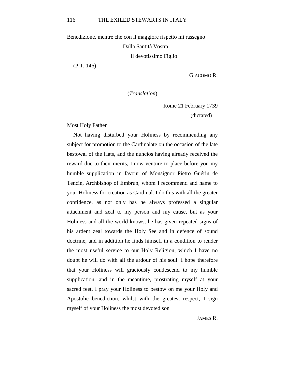Benedizione, mentre che con il maggiore rispetto mi rassegno Dalla Santità Vostra Il devotissimo Figlio

(P.T. 146)

GIACOMO R.

(*Translation*)

Rome 21 February 1739

(dictated)

Most Holy Father

Not having disturbed your Holiness by recommending any subject for promotion to the Cardinalate on the occasion of the late bestowal of the Hats, and the nuncios having already received the reward due to their merits, I now venture to place before you my humble supplication in favour of Monsignor Pietro Guérin de Tencin, Archbishop of Embrun, whom I recommend and name to your Holiness for creation as Cardinal. I do this with all the greater confidence, as not only has he always professed a singular attachment and zeal to my person and my cause, but as your Holiness and all the world knows, he has given repeated signs of his ardent zeal towards the Holy See and in defence of sound doctrine, and in addition he finds himself in a condition to render the most useful service to our Holy Religion, which I have no doubt he will do with all the ardour of his soul. I hope therefore that your Holiness will graciously condescend to my humble supplication, and in the meantime, prostrating myself at your sacred feet, I pray your Holiness to bestow on me your Holy and Apostolic benediction, whilst with the greatest respect, I sign myself of your Holiness the most devoted son

JAMES R.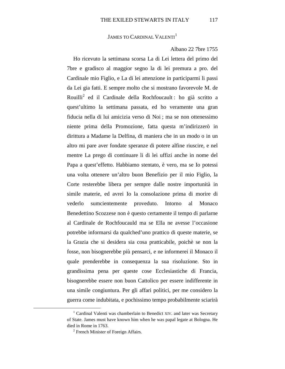JAMES TO CARDINAL VALENTI<sup>[1](#page-64-0)</sup>

### Albano 22 7bre 1755

Ho ricevuto la settimana scorsa La di Lei lettera del primo del 7bre e gradisco al maggior segno la di lei premura a pro. del Cardinale mio Figlio, e La di lei attenzione in participarmi li passi da Lei gia fatti. E sempre molto che si mostrano favorevole M. de Rouilli[2](#page-64-1) ed il Cardinale della Rochfoucault : ho già scritto a quest'ultimo la settimana passata, ed ho veramente una gran fiducia nella di lui amicizia verso di Noi ; ma se non ottenessimo niente prima della Promozione, fatta questa m'indirizzerò in dirittura a Madame la Delfina, di maniera che in un modo o in un altro mi pare aver fondate speranze di potere alfine riuscire, e nel mentre La prego di continuare li di lei uffizi anche in nome del Papa a quest'effetto. Habbiamo stentato, è vero, ma se Io potessi una volta ottenere un'altro buon Benefizio per il mio Figlio, la Corte resterebbe libera per sempre dalle nostre importunità in simile materie, ed avrei Io la consolazione prima di morire di vederlo sumcientemente proveduto. Intorno al Monaco Benedettino Scozzese non è questo certamente il tempo di parlarne al Cardinale de Rochfoucauld ma se Ella ne avesse l'occasione potrebbe informarsi da qualched'uno prattico di queste materie, se la Grazia che si desidera sia cosa pratticabile, poichè se non la fosse, non bisognerebbe più pensarci, e ne informerei il Monaco il quale prenderebbe in consequenza la sua risoluzione. Sto in grandissima pena per queste cose Ecclesiastiche di Francia, bisognerebbe essere non buon Cattolico per essere indifferente in una simile congiuntura. Per gli affari politici, per me considero la guerra come indubitata, e pochissimo tempo probabilmente sciarirà

<span id="page-64-1"></span><span id="page-64-0"></span><sup>&</sup>lt;sup>1</sup> Cardinal Valenti was chamberlain to Benedict XIV. and later was Secretary of State. James must have known him when he was papal legate at Bologna. He died in Rome in 1763.

<sup>&</sup>lt;sup>2</sup> French Minister of Foreign Affairs.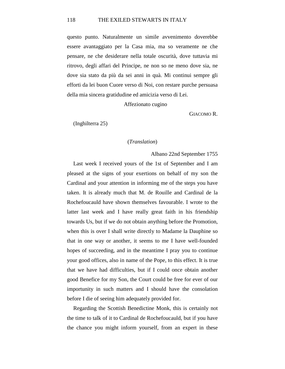#### 118 THE EXILED STEWARTS IN ITALY

questo punto. Naturalmente un simile avvenimento doverebbe essere avantaggiato per la Casa mia, ma so veramente ne che pensare, ne che desiderare nella totale oscurità, dove tuttavia mi ritrovo, degli affari del Principe, ne non so ne meno dove sia, ne dove sia stato da più da sei anni in quà. Mi continui sempre gli efforti da lei buon Cuore verso di Noi, con restare purche persuasa della mia sincera gratidudine ed amicizia verso di Lei.

Affezionato cugino

GIACOMO R.

(Inghilterra 25)

### (*Translation*)

Albano 22nd September 1755

Last week I received yours of the 1st of September and I am pleased at the signs of your exertions on behalf of my son the Cardinal and your attention in informing me of the steps you have taken. It is already much that M. de Rouille and Cardinal de la Rochefoucauld have shown themselves favourable. I wrote to the latter last week and I have really great faith in his friendship towards Us, but if we do not obtain anything before the Promotion, when this is over I shall write directly to Madame la Dauphine so that in one way or another, it seems to me I have well-founded hopes of succeeding, and in the meantime I pray you to continue your good offices, also in name of the Pope, to this effect. It is true that we have had difficulties, but if I could once obtain another good Benefice for my Son, the Court could be free for ever of our importunity in such matters and I should have the consolation before I die of seeing him adequately provided for.

Regarding the Scottish Benedictine Monk, this is certainly not the time to talk of it to Cardinal de Rochefoucauld, but if you have the chance you might inform yourself, from an expert in these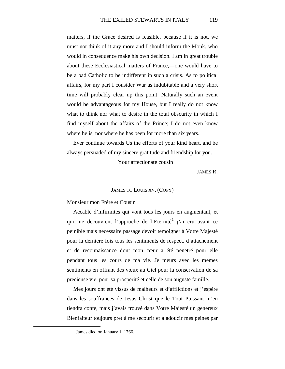matters, if the Grace desired is feasible, because if it is not, we must not think of it any more and I should inform the Monk, who would in consequence make his own decision. I am in great trouble about these Ecclesiastical matters of France,—one would have to be a bad Catholic to be indifferent in such a crisis. As to political affairs, for my part I consider War as indubitable and a very short time will probably clear up this point. Naturally such an event would be advantageous for my House, but I really do not know what to think nor what to desire in the total obscurity in which I find myself about the affairs of the Prince; I do not even know where he is, nor where he has been for more than six years.

Ever continue towards Us the efforts of your kind heart, and be always persuaded of my sincere gratitude and friendship for you.

Your affectionate cousin

JAMES R.

#### JAMES TO LOUIS XV. (COPY)

## Monsieur mon Frère et Cousin

Accablé d'infirmites qui vont tous les jours en augmentant, et qui me decouvrent l'approche de l'Eternité<sup>[1](#page-66-0)</sup> j'ai cru avant ce peinible mais necessaire passage devoir temoigner à Votre Majesté pour la derniere fois tous les sentiments de respect, d'attachement et de reconnaissance dont mon cœur a été penetré pour elle pendant tous les cours de ma vie. Je meurs avec les memes sentiments en offrant des vœux au Ciel pour la conservation de sa precieuse vie, pour sa prosperité et celle de son auguste famille.

Mes jours ont été vissus de malheurs et d'afflictions et j'espère dans les souffrances de Jesus Christ que le Tout Puissant m'en tiendra conte, mais j'avais trouvé dans Votre Majesté un genereux Bienfaiteur toujours pret à me secourir et à adoucir mes peines par

<span id="page-66-0"></span> $<sup>1</sup>$  James died on January 1, 1766.</sup>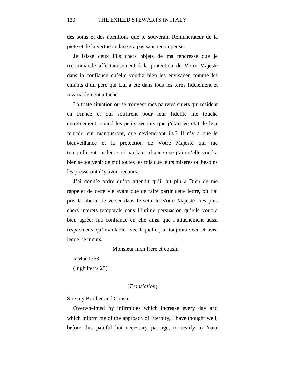des soins et des attentions que le souverain Remunerateur de la piete et de la vertue ne laissera pas sans recompense.

Je laisse deux Fils chers objets de ma tendresse que je recommande affectueusement à la protection de Votre Majesté dans la confiance qu'elle voudra bien les envisager comme les enfants d'un père qui Lui a été dans tous les terns fidelement et invariablement attaché.

La triste situation où se trouvent mes pauvres sujets qui resident en France et qui souffrent pour leur fidelité me touche extremement, quand les petits secours que j'étais en etat de leur fournir leur manqueront, que deviendront ils ? Il n'y a que le bienveillance et la protection de Votre Majesté qui me tranquillisent sur leur sort par la confiance que j'ai qu'elle voudra bien se souvenir de moi toutes les fois que leurs misères ou besoins les presseront d'y avoir recours.

J'ai donn'e ordre qu'on attendit qu'il ait plu a Dieu de me rappeler de cette vie avant que de faire partir cette lettre, où j'ai pris la liberté de verser dans le sein de Votre Majesté mes plus chers interets temporals dans l'intime persuasion qu'elle voudra bien agréer ma confiance en elle ainsi que l'attachement aussi respectueux qu'inviolable avec laquelle j'ai toujours vecu et avec lequel je meurs.

Monsieur mon frere et cousin

5 Mai 1763 (Inghilterra 25)

#### (*Translation*)

Sire my Brother and Cousin

Overwhelmed by infirmities which increase every day and which inform me of the approach of Eternity, I have thought well, before this painful but necessary passage, to testify to Your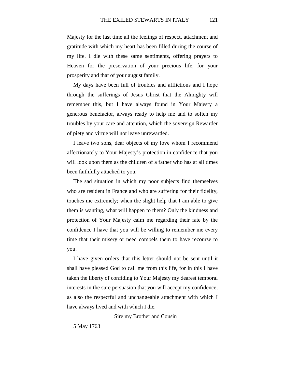Majesty for the last time all the feelings of respect, attachment and gratitude with which my heart has been filled during the course of my life. I die with these same sentiments, offering prayers to Heaven for the preservation of your precious life, for your prosperity and that of your august family.

My days have been full of troubles and afflictions and I hope through the sufferings of Jesus Christ that the Almighty will remember this, but I have always found in Your Majesty a generous benefactor, always ready to help me and to soften my troubles by your care and attention, which the sovereign Rewarder of piety and virtue will not leave unrewarded.

I leave two sons, dear objects of my love whom I recommend affectionately to Your Majesty's protection in confidence that you will look upon them as the children of a father who has at all times been faithfully attached to you.

The sad situation in which my poor subjects find themselves who are resident in France and who are suffering for their fidelity, touches me extremely; when the slight help that I am able to give them is wanting, what will happen to them? Only the kindness and protection of Your Majesty calm me regarding their fate by the confidence I have that you will be willing to remember me every time that their misery or need compels them to have recourse to you.

I have given orders that this letter should not be sent until it shall have pleased God to call me from this life, for in this I have taken the liberty of confiding to Your Majesty my dearest temporal interests in the sure persuasion that you will accept my confidence, as also the respectful and unchangeable attachment with which I have always lived and with which I die.

Sire my Brother and Cousin

5 May 1763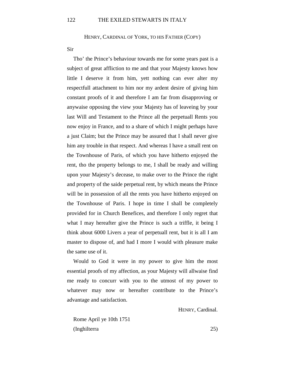HENRY, CARDINAL OF YORK, TO HIS FATHER (COPY)

Sir

Tho' the Prince's behaviour towards me for some years past is a subject of great affliction to me and that your Majesty knows how little I deserve it from him, yett nothing can ever alter my respectfull attachment to him nor my ardent desire of giving him constant proofs of it and therefore I am far from disapproving or anywaise opposing the view your Majesty has of leaveing by your last Will and Testament to the Prince all the perpetuall Rents you now enjoy in France, and to a share of which I might perhaps have a just Claim; but the Prince may be assured that I shall never give him any trouble in that respect. And whereas I have a small rent on the Townhouse of Paris, of which you have hitherto enjoyed the rent, tho the property belongs to me, I shall be ready and willing upon your Majesty's decease, to make over to the Prince the right and property of the saide perpetual rent, by which means the Prince will be in possession of all the rents you have hitherto enjoyed on the Townhouse of Paris. I hope in time I shall be completely provided for in Church Benefices, and therefore I only regret that what I may hereafter give the Prince is such a triffle, it being I think about 6000 Livers a year of perpetuall rent, but it is all I am master to dispose of, and had I more I would with pleasure make the same use of it.

Would to God it were in my power to give him the most essential proofs of my affection, as your Majesty will allwaise find me ready to concurr with you to the utmost of my power to whatever may now or hereafter contribute to the Prince's advantage and satisfaction.

HENRY, Cardinal.

Rome April ye 10th 1751 (Inghilterra 25)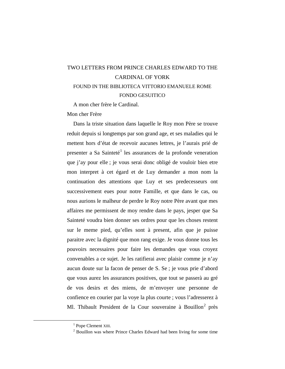# TWO LETTERS FROM PRINCE CHARLES EDWARD TO THE CARDINAL OF YORK FOUND IN THE BIBLIOTECA VITTORIO EMANUELE ROME FONDO GESUITICO

A mon cher frère le Cardinal.

Mon cher Frère

Dans la triste situation dans laquelle le Roy mon Père se trouve reduit depuis si longtemps par son grand age, et ses maladies qui le mettent hors d'état de recevoir aucunes lettres, je l'aurais prié de presenter a Sa Sainteté<sup>[1](#page-70-0)</sup> les assurances de la profonde veneration que j'ay pour elle ; je vous serai donc obligé de vouloir bien etre mon interpret à cet égard et de Luy demander a mon nom la continuation des attentions que Luy et ses predecesseurs ont successivement eues pour notre Famille, et que dans le cas, ou nous aurions le malheur de perdre le Roy notre Père avant que mes affaires me permissent de moy rendre dans le pays, jesper que Sa Sainteté voudra bien donner ses ordres pour que les choses restent sur le meme pied, qu'elles sont à present, afin que je puisse paraitre avec la dignité que mon rang exige. Je vous donne tous les pouvoirs necessaires pour faire les demandes que vous croyez convenables a ce sujet. Je les ratifierai avec plaisir comme je n'ay aucun doute sur la facon de penser de S. Se ; je vous prie d'abord que vous aurez les assurances positives, que tout se passerà au gré de vos desirs et des miens, de m'envoyer une personne de confience en courier par la voye la plus courte ; vous l'adresserez à Ml. Thibault President de la Cour souveraine à Bouillon<sup>[2](#page-70-1)</sup> près

<sup>&</sup>lt;sup>1</sup> Pope Clement XIII.

<span id="page-70-1"></span><span id="page-70-0"></span><sup>&</sup>lt;sup>2</sup> Bouillon was where Prince Charles Edward had been living for some time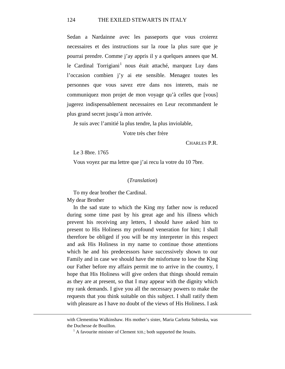Sedan a Nardainne avec les passeports que vous croierez necessaires et des instructions sur la roue la plus sure que je pourrai prendre. Comme j'ay appris il y a quelques annees que M. le Cardinal Torrigiani<sup>[1](#page-71-0)</sup> nous était attaché, marquez Luy dans l'occasion combien j'y ai ete sensible. Menagez toutes les personnes que vous savez etre dans nos interets, mais ne communiquez mon projet de mon voyage qu'à celles que [vous] jugerez indispensablement necessaires en Leur recommandent le plus grand secret jusqu'à mon arrivée.

Je suis avec l'amitié la plus tendre, la plus inviolable,

Votre très cher frère

CHARLES P.R.

Le 3 8bre. 1765

Vous voyez par ma lettre que j'ai recu la votre du 10 7bre.

#### (*Translation*)

To my dear brother the Cardinal.

My dear Brother

<span id="page-71-0"></span> $\overline{a}$ 

In the sad state to which the King my father now is reduced during some time past by his great age and his illness which prevent his receiving any letters, I should have asked him to present to His Holiness my profound veneration for him; I shall therefore be obliged if you will be my interpreter in this respect and ask His Holiness in my name to continue those attentions which he and his predecessors have successively shown to our Family and in case we should have the misfortune to lose the King our Father before my affairs permit me to arrive in the country, I hope that His Holiness will give orders that things should remain as they are at present, so that I may appear with the dignity which my rank demands. I give you all the necessary powers to make the requests that you think suitable on this subject. I shall ratify them with pleasure as I have no doubt of the views of His Holiness. I ask

with Clementina Walkinshaw. His mother's sister, Maria Carlotta Sobieska, was the Duchesse de Bouillon.

 $<sup>1</sup>$  A favourite minister of Clement XIII.; both supported the Jesuits.</sup>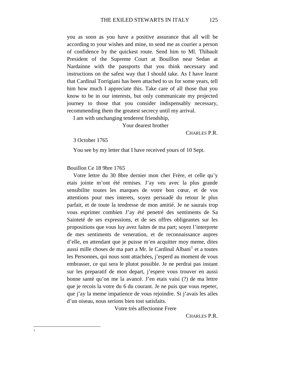you as soon as you have a positive assurance that all will be according to your wishes and mine, to send me as courier a person of confidence by the quickest route. Send him to Ml. Thibault President of the Supreme Court at Bouillon near Sedan at Nardainne with the passports that you think necessary and instructions on the safest way that I should take. As I have learnt that Cardinal Torrigiani has been attached to us for some years, tell him how much I appreciate this. Take care of all those that you know to be in our interests, but only communicate my projected journey to those that you consider indispensably necessary, recommending them the greatest secrecy until my arrival.

I am with unchanging tenderest friendship,

Your dearest brother

CHARLES P.R.

3 October 1765

You see by my letter that I have received yours of 10 Sept.

Bouillon Ce 18 9bre 1765

Votre lettre du 30 8bre dernier mon cher Frère, et celle qu'y etais jointe m'ont été remises. J'ay veu avec la plus grande sensibilite toutes les marques de votre bon cœur, et de vos attentions pour mes interets, soyez persuadè du retour le plus parfait, et de toute la tendresse de mon amitié. Je ne saurais trop vous esprimer combien J'ay été penetré des sentiments de Sa Sainteté de ses expressions, et de ses offres obligeantes sur les propositions que vous luy avez faites de ma part; soyez l'interprete de mes sentiments de veneration, et de reconnaissance aupres d'elle, en attendant que je puisse m'en acquitter moy meme, dites aussi mille choses de ma part a Mr. le Cardinal Albani $<sup>1</sup>$  $<sup>1</sup>$  $<sup>1</sup>$  et a toutes</sup> les Personnes, qui nous sont attachées, j'esperd au moment de vous embrasser, ce qui sera le plutot possible. Je ne perdrai pas instant sur les preparatif de mon depart, j'espere vous trouver en aussi bonne santé qu'on me la avancè. J'en etais vaisi (?) de ma lettre que je recois la votre du 6 du courant. Je ne puis que vous repeter, que j'ay la meme impatience de vous rejoindre. Si j'avais les ailes d'un oiseau, nous serions bien tost satisfaits.

Votre très affectionne Frere

CHARLES P.R.

#### <span id="page-72-0"></span> $\frac{1}{1}$  $\mathbf{1}$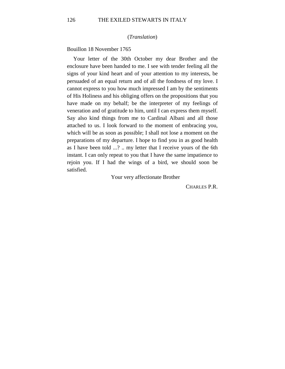#### (*Translation*)

Bouillon 18 November 1765

Your letter of the 30th October my dear Brother and the enclosure have been handed to me. I see with tender feeling all the signs of your kind heart and of your attention to my interests, be persuaded of an equal return and of all the fondness of my love. I cannot express to you how much impressed I am by the sentiments of His Holiness and his obliging offers on the propositions that you have made on my behalf; be the interpreter of my feelings of veneration and of gratitude to him, until I can express them myself. Say also kind things from me to Cardinal Albani and all those attached to us. I look forward to the moment of embracing you, which will be as soon as possible; I shall not lose a moment on the preparations of my departure. I hope to find you in as good health as I have been told ...? .. my letter that I receive yours of the 6th instant. I can only repeat to you that I have the same impatience to rejoin you. If I had the wings of a bird, we should soon be satisfied.

Your very affectionate Brother

CHARLES P.R.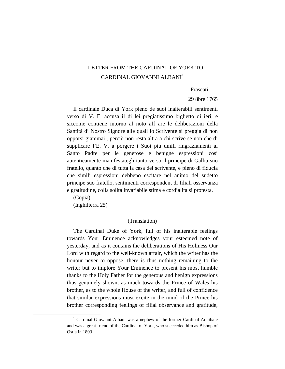## LETTER FROM THE CARDINAL OF YORK TO CARDINAL GIOVANNI ALBANI<sup>[1](#page-74-0)</sup>

Frascati

29 8bre 1765

Il cardinale Duca di York pieno de suoi inalterabili sentimenti verso di V. E. accusa il di lei pregiatissimo biglietto di ieri, e siccome contiene intorno al noto aff are le deliberazioni della Santità di Nostro Signore alle quali lo Scrivente si preggia di non opporsi giammai ; perciò non resta altra a chi scrive se non che di supplicare l'E. V. a porgere i Suoi piu umili ringraziamenti al Santo Padre per le generose e benigne espressioni cosi autenticamente manifestategli tanto verso il principe di Gallia suo fratello, quanto che di tutta la casa del scrivente, e pieno di fiducia che simili espressioni debbeno escitare nel animo del sudetto principe suo fratello, sentimenti correspondent di filiali osservanza e gratitudine, colla solita invariabile stima e cordialita si protesta.

(Copia) (Inghilterra 25)

#### (Translation)

The Cardinal Duke of York, full of his inalterable feelings towards Your Eminence acknowledges your esteemed note of yesterday, and as it contains the deliberations of His Holiness Our Lord with regard to the well-known affair, which the writer has the honour never to oppose, there is thus nothing remaining to the writer but to implore Your Eminence to present his most humble thanks to the Holy Father for the generous and benign expressions thus genuinely shown, as much towards the Prince of Wales his brother, as to the whole House of the writer, and full of confidence that similar expressions must excite in the mind of the Prince his brother corresponding feelings of filial observance and gratitude,

<span id="page-74-0"></span><sup>&</sup>lt;sup>1</sup> Cardinal Giovanni Albani was a nephew of the former Cardinal Annibale and was a great friend of the Cardinal of York, who succeeded him as Bishop of Ostia in 1803.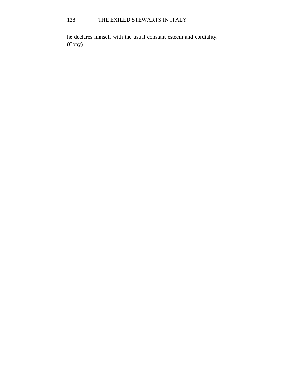# 128 THE EXILED STEWARTS IN ITALY

he declares himself with the usual constant esteem and cordiality. (Copy)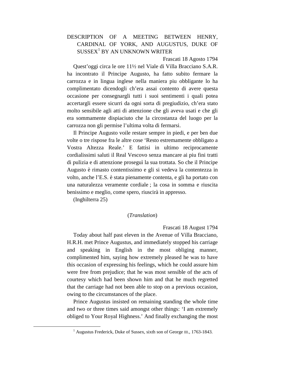## DESCRIPTION OF A MEETING BETWEEN HENRY, CARDINAL OF YORK, AND AUGUSTUS, DUKE OF  $SUSSEX<sup>1</sup>$  $SUSSEX<sup>1</sup>$  $SUSSEX<sup>1</sup>$  BY AN UNKNOWN WRITER

#### Frascati 18 Agosto 1794

Quest'oggi circa le ore 11½ nel Viale di Villa Bracciano S.A.R. ha incontrato il Principe Augusto, ha fatto subito fermare la carrozza e in lingua inglese nella maniera piu obbligante lo ha complimentato dicendogli ch'era assai contento di avere questa occasione per consegnargli tutti i suoi sentimenti i quali potea accertargli essere sicurri da ogni sorta di pregiudizio, ch'era stato molto sensibile agli atti di attenzione che gli aveva usati e che gli era sommamente dispiaciuto che la circostanza del luogo per la carrozza non gli permise l'ultima volta di fermarsi.

Il Principe Augusto voile restare sempre in piedi, e per ben due volte o tre rispose fra le altre cose 'Resto estremamente obbligato a Vostra Altezza Reale.' E fattisi in ultimo reciprocamente cordialissimi saluti il Real Vescovo senza mancare ai piu fini tratti di pulizia e di attenzione proseguì la sua trottata. So che il Principe Augusto è rimasto contentissimo e gli si vedeva la contentezza in volto, anche l'E.S. è stata pienamente contenta, e gli ha portato con una naturalezza veramente cordiale ; la cosa in somma e riuscita benissimo e meglio, come spero, riuscirà in appresso.

(Inghilterra 25)

#### (*Translation*)

Frascati 18 August 1794

Today about half past eleven in the Avenue of Villa Bracciano, H.R.H. met Prince Augustus, and immediately stopped his carriage and speaking in English in the most obliging manner, complimented him, saying how extremely pleased he was to have this occasion of expressing his feelings, which he could assure him were free from prejudice; that he was most sensible of the acts of courtesy which had been shown him and that he much regretted that the carriage had not been able to stop on a previous occasion, owing to the circumstances of the place.

Prince Augustus insisted on remaining standing the whole time and two or three times said amongst other things: 'I am extremely obliged to Your Royal Highness.' And finally exchanging the most

<span id="page-76-0"></span><sup>&</sup>lt;sup>1</sup> Augustus Frederick, Duke of Sussex, sixth son of George III., 1763-1843.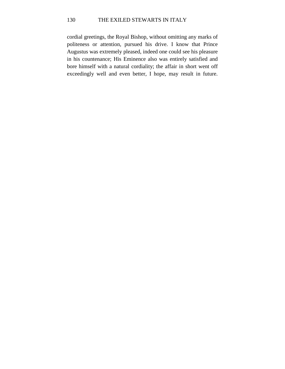### 130 THE EXILED STEWARTS IN ITALY

cordial greetings, the Royal Bishop, without omitting any marks of politeness or attention, pursued his drive. I know that Prince Augustus was extremely pleased, indeed one could see his pleasure in his countenance; His Eminence also was entirely satisfied and bore himself with a natural cordiality; the affair in short went off exceedingly well and even better, I hope, may result in future.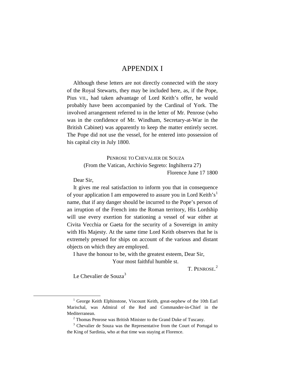## APPENDIX I

Although these letters are not directly connected with the story of the Royal Stewarts, they may be included here, as, if the Pope, Pius VII., had taken advantage of Lord Keith's offer, he would probably have been accompanied by the Cardinal of York. The involved arrangement referred to in the letter of Mr. Penrose (who was in the confidence of Mr. Windham, Secretary-at-War in the British Cabinet) was apparently to keep the matter entirely secret. The Pope did not use the vessel, for he entered into possession of his capital city in July 1800.

> PENROSE TO CHEVALIER DE SOUZA (From the Vatican, Archivio Segreto: Inghilterra 27) Florence June 17 1800

Dear Sir,

It gives me real satisfaction to inform you that in consequence of your application I am empowered to assure you in Lord Keith's<sup>[1](#page-78-0)</sup> name, that if any danger should be incurred to the Pope's person of an irruption of the French into the Roman territory, His Lordship will use every exertion for stationing a vessel of war either at Civita Vecchia or Gaeta for the security of a Sovereign in amity with His Majesty. At the same time Lord Keith observes that he is extremely pressed for ships on account of the various and distant objects on which they are employed.

I have the honour to be, with the greatest esteem, Dear Sir, Your most faithful humble st.

T. PENROSE.<sup>[2](#page-78-1)</sup>

Le Chevalier de Souza<sup>[3](#page-78-2)</sup>

<span id="page-78-0"></span><sup>&</sup>lt;sup>1</sup> George Keith Elphinstone, Viscount Keith, great-nephew of the 10th Earl Marischal, was Admiral of the Red and Commander-in-Chief in the Mediterranean.

<sup>2</sup> Thomas Penrose was British Minister to the Grand Duke of Tuscany.

<span id="page-78-2"></span><span id="page-78-1"></span><sup>&</sup>lt;sup>3</sup> Chevalier de Souza was the Representative from the Court of Portugal to the King of Sardinia, who at that time was staying at Florence.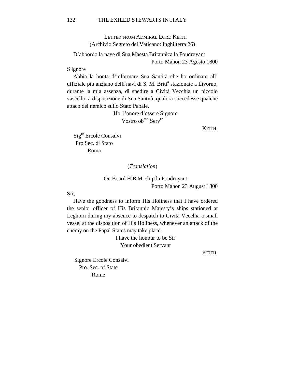LETTER FROM ADMIRAL LORD KEITH (Archivio Segreto del Vaticano: Inghilterra 26)

D'abbordo la nave di Sua Maesta Britannica la Foudroyant Porto Mahon 23 Agosto 1800

S ignore

Abbia la bonta d'informare Sua Santità che ho ordinato all' uffiziale piu anziano delli navi di S. M. Britt<sup>a</sup> stazionate a Livorno, durante la mia assenza, di spedire a Cività Vecchia un piccolo vascello, a disposizione di Sua Santità, qualora succedesse qualche attaco del nemico sullo Stato Papale.

> Ho 1'onore d'essere Signore Vostro ob<sup>mo</sup> Serv<sup>re</sup>

> > KEITH.

Sig<sup>re</sup> Ercole Consalvi Pro Sec. di Stato Roma

(*Translation*)

On Board H.B.M. ship la Foudroyant Porto Mahon 23 August 1800

Sir,

Have the goodness to inform His Holiness that I have ordered the senior officer of His Britannic Majesty's ships stationed at Leghorn during my absence to despatch to Cività Vecchia a small vessel at the disposition of His Holiness, whenever an attack of the enemy on the Papal States may take place.

> I have the honour to be Sir Your obedient Servant

> > KEITH.

Signore Ercole Consalvi Pro. Sec. of State Rome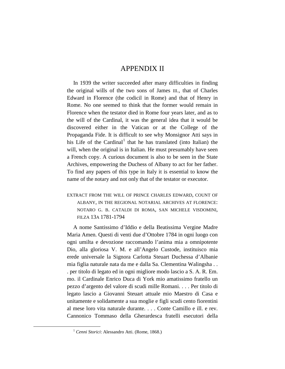## APPENDIX II

In 1939 the writer succeeded after many difficulties in finding the original wills of the two sons of James III., that of Charles Edward in Florence (the codicil in Rome) and that of Henry in Rome. No one seemed to think that the former would remain in Florence when the testator died in Rome four years later, and as to the will of the Cardinal, it was the general idea that it would be discovered either in the Vatican or at the College of the Propaganda Fide. It is difficult to see why Monsignor Atti says in his Life of the Cardinal<sup>[1](#page-80-0)</sup> that he has translated (into Italian) the will, when the original is in Italian. He must presumably have seen a French copy. A curious document is also to be seen in the State Archives, empowering the Duchess of Albany to act for her father. To find any papers of this type in Italy it is essential to know the name of the notary and not only that of the testator or executor.

EXTRACT FROM THE WILL OF PRINCE CHARLES EDWARD, COUNT OF ALBANY, IN THE REGIONAL NOTARIAL ARCHIVES AT FLORENCE: NOTARO G. B. CATALDI DI ROMA, SAN MICHELE VISDOMINI, FILZA 13A 1781-1794

A nome Santissimo d'Iddio e della Beatissima Vergine Madre Maria Amen. Questi di venti due d'Ottobre 1784 in ogni luogo con ogni umilta e devozione raccomando l'anima mia a omnipotente Dio, alla gloriosa V. M. e all'Angelo Custode, instituisco mia erede universale la Signora Carlotta Steuart Duchessa d'Albanie mia figlia naturale nata da me e dalla Sa. Clementina Walingsha . . . per titolo di legato ed in ogni migliore modo lascio a S. A. R. Em. mo. il Cardinale Enrico Duca di York mio amatissimo fratello un pezzo d'argento del valore di scudi mille Romani. . . . Per titolo di legato lascio a Giovanni Steuart attuale mio Maestro di Casa e unitamente e solidamente a sua moglie e figli scudi cento fiorentini al mese loro vita naturale durante. . . . Conte Camillo e ill. e rev. Cannonico Tommaso della Gherardesca fratelli esecutori della

<span id="page-80-0"></span> <sup>1</sup> *Cenni Storici*: Alessandro Atti. (Rome, 1868.)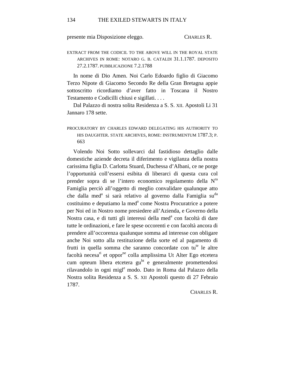presente mia Disposizione eleggo. CHARLES R.

EXTRACT FROM THE CODICIL TO THE ABOVE WILL IN THE ROYAL STATE ARCHIVES IN ROME: NOTARO G. B. CATALDI 31.1.1787. DEPOSITO 27.2.1787. PUBBLICAZIONE 7.2.1788

In nome di Dio Amen. Noi Carlo Edoardo figlio di Giacomo Terzo Nipote di Giacomo Secondo Re della Gran Bretagna appie sottoscritto ricordiamo d'aver fatto in Toscana il Nostro Testamento e Codicilli chiusi e sigillati. . . .

Dal Palazzo di nostra solita Residenza a S. S. XII. Apostoli Li 31 Jannaro 178 sette.

## PROCURATORY BY CHARLES EDWARD DELEGATING HIS AUTHORITY TO HIS DAUGHTER. STATE ARCHIVES, ROME: INSTRUMENTUM 1787.3; P. 663

Volendo Noi Sotto sollevarci dal fastidioso dettaglio dalle domestiche aziende decreta il diferimento e vigilanza della nostra carissima figlia D. Carlotta Stuard, Duchessa d'Albani, ce ne porge l'opportunità coll'essersi esibita di liberarci di questa cura col prender sopra di se l'intero economico regolamento della N<sup>ra</sup> Famiglia perciò all'oggetto di meglio convalidare qualunque atto che dalla med<sup>a</sup> si sarà relativo al governo dalla Famiglia su<sup>da</sup> costituimo e deputiamo la med<sup>a</sup> come Nostra Procuratrice a potere per Noi ed in Nostro nome presiedere all'Azienda, e Governo della Nostra casa, e di tutti gli interessi della med<sup>a</sup> con facoltà di dare tutte le ordinazioni, e fare le spese occorenti e con facoltà ancora di prendere all'occorenza qualunque somma ad interesse con obligare anche Noi sotto alla restituzione della sorte ed al pagamento di frutti in quella somma che saranno concordate con tu<sup>te</sup> le altre facoltà necesa<sup>ri</sup> et oppor<sup>ne</sup> colla amplissima Ut Alter Ego etcetera cum opteum libera etcetera gu<sup>bt</sup> e generalmente promettendosi rilavandolo in ogni migl<sup>e</sup> modo. Dato in Roma dal Palazzo della Nostra solita Residenza a S. S. XII Apostoli questo di 27 Febraio 1787.

#### CHARLES R.